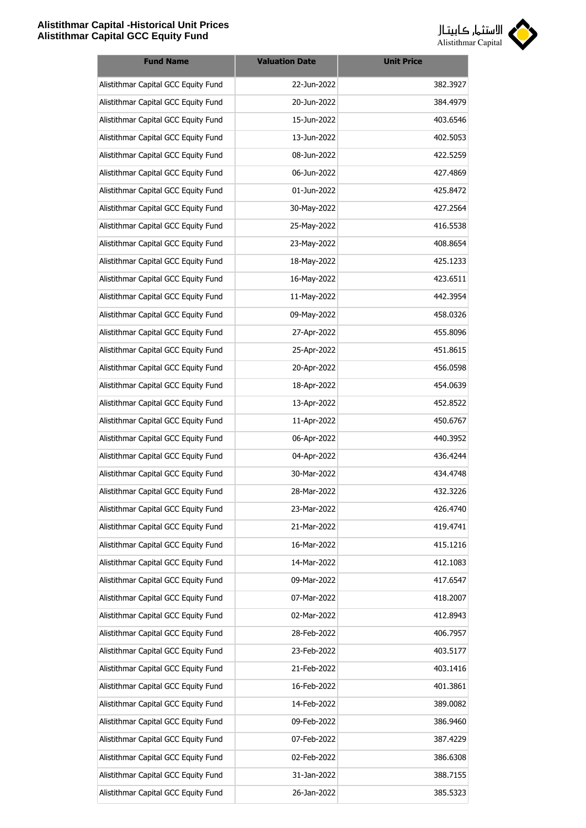

| <b>Fund Name</b>                    | <b>Valuation Date</b> | <b>Unit Price</b> |
|-------------------------------------|-----------------------|-------------------|
| Alistithmar Capital GCC Equity Fund | 22-Jun-2022           | 382.3927          |
| Alistithmar Capital GCC Equity Fund | 20-Jun-2022           | 384.4979          |
| Alistithmar Capital GCC Equity Fund | 15-Jun-2022           | 403.6546          |
| Alistithmar Capital GCC Equity Fund | 13-Jun-2022           | 402.5053          |
| Alistithmar Capital GCC Equity Fund | 08-Jun-2022           | 422.5259          |
| Alistithmar Capital GCC Equity Fund | 06-Jun-2022           | 427.4869          |
| Alistithmar Capital GCC Equity Fund | 01-Jun-2022           | 425.8472          |
| Alistithmar Capital GCC Equity Fund | 30-May-2022           | 427.2564          |
| Alistithmar Capital GCC Equity Fund | 25-May-2022           | 416.5538          |
| Alistithmar Capital GCC Equity Fund | 23-May-2022           | 408.8654          |
| Alistithmar Capital GCC Equity Fund | 18-May-2022           | 425.1233          |
| Alistithmar Capital GCC Equity Fund | 16-May-2022           | 423.6511          |
| Alistithmar Capital GCC Equity Fund | 11-May-2022           | 442.3954          |
| Alistithmar Capital GCC Equity Fund | 09-May-2022           | 458.0326          |
| Alistithmar Capital GCC Equity Fund | 27-Apr-2022           | 455.8096          |
| Alistithmar Capital GCC Equity Fund | 25-Apr-2022           | 451.8615          |
| Alistithmar Capital GCC Equity Fund | 20-Apr-2022           | 456.0598          |
| Alistithmar Capital GCC Equity Fund | 18-Apr-2022           | 454.0639          |
| Alistithmar Capital GCC Equity Fund | 13-Apr-2022           | 452.8522          |
| Alistithmar Capital GCC Equity Fund | 11-Apr-2022           | 450.6767          |
| Alistithmar Capital GCC Equity Fund | 06-Apr-2022           | 440.3952          |
| Alistithmar Capital GCC Equity Fund | 04-Apr-2022           | 436.4244          |
| Alistithmar Capital GCC Equity Fund | 30-Mar-2022           | 434.4748          |
| Alistithmar Capital GCC Equity Fund | 28-Mar-2022           | 432.3226          |
| Alistithmar Capital GCC Equity Fund | 23-Mar-2022           | 426.4740          |
| Alistithmar Capital GCC Equity Fund | 21-Mar-2022           | 419.4741          |
| Alistithmar Capital GCC Equity Fund | 16-Mar-2022           | 415.1216          |
| Alistithmar Capital GCC Equity Fund | 14-Mar-2022           | 412.1083          |
| Alistithmar Capital GCC Equity Fund | 09-Mar-2022           | 417.6547          |
| Alistithmar Capital GCC Equity Fund | 07-Mar-2022           | 418.2007          |
| Alistithmar Capital GCC Equity Fund | 02-Mar-2022           | 412.8943          |
| Alistithmar Capital GCC Equity Fund | 28-Feb-2022           | 406.7957          |
| Alistithmar Capital GCC Equity Fund | 23-Feb-2022           | 403.5177          |
| Alistithmar Capital GCC Equity Fund | 21-Feb-2022           | 403.1416          |
| Alistithmar Capital GCC Equity Fund | 16-Feb-2022           | 401.3861          |
| Alistithmar Capital GCC Equity Fund | 14-Feb-2022           | 389.0082          |
| Alistithmar Capital GCC Equity Fund | 09-Feb-2022           | 386.9460          |
| Alistithmar Capital GCC Equity Fund | 07-Feb-2022           | 387.4229          |
| Alistithmar Capital GCC Equity Fund | 02-Feb-2022           | 386.6308          |
| Alistithmar Capital GCC Equity Fund | 31-Jan-2022           | 388.7155          |
| Alistithmar Capital GCC Equity Fund | 26-Jan-2022           | 385.5323          |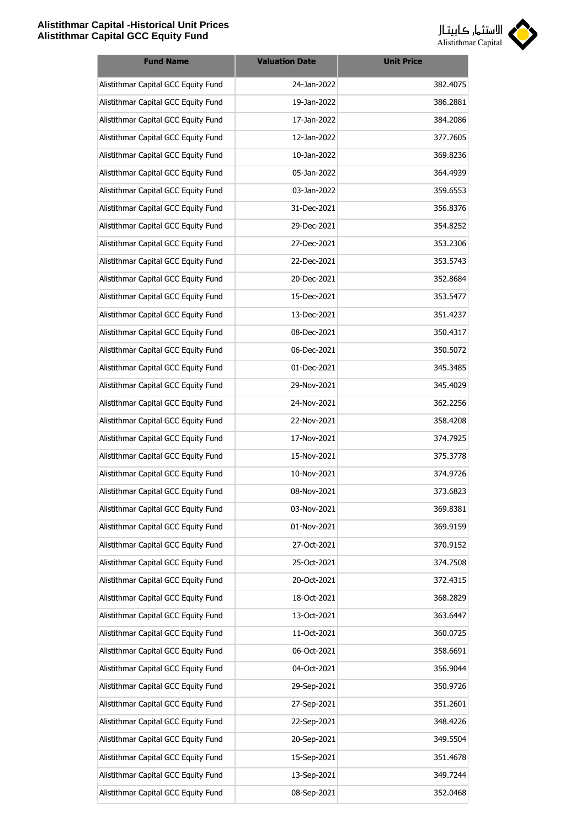

| <b>Fund Name</b>                    | <b>Valuation Date</b> | <b>Unit Price</b> |
|-------------------------------------|-----------------------|-------------------|
| Alistithmar Capital GCC Equity Fund | 24-Jan-2022           | 382.4075          |
| Alistithmar Capital GCC Equity Fund | 19-Jan-2022           | 386.2881          |
| Alistithmar Capital GCC Equity Fund | 17-Jan-2022           | 384.2086          |
| Alistithmar Capital GCC Equity Fund | 12-Jan-2022           | 377.7605          |
| Alistithmar Capital GCC Equity Fund | 10-Jan-2022           | 369.8236          |
| Alistithmar Capital GCC Equity Fund | 05-Jan-2022           | 364.4939          |
| Alistithmar Capital GCC Equity Fund | 03-Jan-2022           | 359.6553          |
| Alistithmar Capital GCC Equity Fund | 31-Dec-2021           | 356.8376          |
| Alistithmar Capital GCC Equity Fund | 29-Dec-2021           | 354.8252          |
| Alistithmar Capital GCC Equity Fund | 27-Dec-2021           | 353.2306          |
| Alistithmar Capital GCC Equity Fund | 22-Dec-2021           | 353.5743          |
| Alistithmar Capital GCC Equity Fund | 20-Dec-2021           | 352.8684          |
| Alistithmar Capital GCC Equity Fund | 15-Dec-2021           | 353.5477          |
| Alistithmar Capital GCC Equity Fund | 13-Dec-2021           | 351.4237          |
| Alistithmar Capital GCC Equity Fund | 08-Dec-2021           | 350.4317          |
| Alistithmar Capital GCC Equity Fund | 06-Dec-2021           | 350.5072          |
| Alistithmar Capital GCC Equity Fund | 01-Dec-2021           | 345.3485          |
| Alistithmar Capital GCC Equity Fund | 29-Nov-2021           | 345.4029          |
| Alistithmar Capital GCC Equity Fund | 24-Nov-2021           | 362.2256          |
| Alistithmar Capital GCC Equity Fund | 22-Nov-2021           | 358.4208          |
| Alistithmar Capital GCC Equity Fund | 17-Nov-2021           | 374.7925          |
| Alistithmar Capital GCC Equity Fund | 15-Nov-2021           | 375.3778          |
| Alistithmar Capital GCC Equity Fund | 10-Nov-2021           | 374.9726          |
| Alistithmar Capital GCC Equity Fund | 08-Nov-2021           | 373.6823          |
| Alistithmar Capital GCC Equity Fund | 03-Nov-2021           | 369.8381          |
| Alistithmar Capital GCC Equity Fund | 01-Nov-2021           | 369.9159          |
| Alistithmar Capital GCC Equity Fund | 27-Oct-2021           | 370.9152          |
| Alistithmar Capital GCC Equity Fund | 25-Oct-2021           | 374.7508          |
| Alistithmar Capital GCC Equity Fund | 20-Oct-2021           | 372.4315          |
| Alistithmar Capital GCC Equity Fund | 18-Oct-2021           | 368.2829          |
| Alistithmar Capital GCC Equity Fund | 13-Oct-2021           | 363.6447          |
| Alistithmar Capital GCC Equity Fund | 11-Oct-2021           | 360.0725          |
| Alistithmar Capital GCC Equity Fund | 06-Oct-2021           | 358.6691          |
| Alistithmar Capital GCC Equity Fund | 04-Oct-2021           | 356.9044          |
| Alistithmar Capital GCC Equity Fund | 29-Sep-2021           | 350.9726          |
| Alistithmar Capital GCC Equity Fund | 27-Sep-2021           | 351.2601          |
| Alistithmar Capital GCC Equity Fund | 22-Sep-2021           | 348.4226          |
| Alistithmar Capital GCC Equity Fund | 20-Sep-2021           | 349.5504          |
| Alistithmar Capital GCC Equity Fund | 15-Sep-2021           | 351.4678          |
| Alistithmar Capital GCC Equity Fund | 13-Sep-2021           | 349.7244          |
| Alistithmar Capital GCC Equity Fund | 08-Sep-2021           | 352.0468          |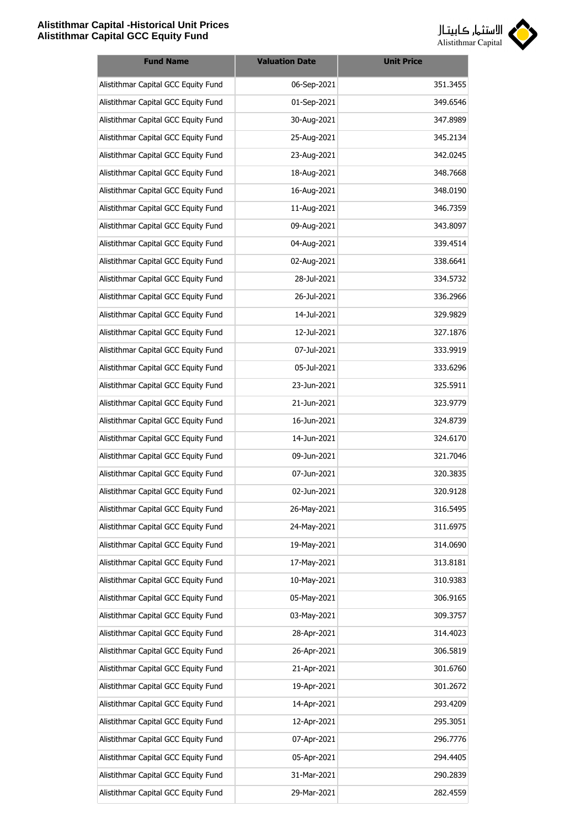

| <b>Fund Name</b>                    | <b>Valuation Date</b> | <b>Unit Price</b> |
|-------------------------------------|-----------------------|-------------------|
| Alistithmar Capital GCC Equity Fund | 06-Sep-2021           | 351.3455          |
| Alistithmar Capital GCC Equity Fund | 01-Sep-2021           | 349.6546          |
| Alistithmar Capital GCC Equity Fund | 30-Aug-2021           | 347.8989          |
| Alistithmar Capital GCC Equity Fund | 25-Aug-2021           | 345.2134          |
| Alistithmar Capital GCC Equity Fund | 23-Aug-2021           | 342.0245          |
| Alistithmar Capital GCC Equity Fund | 18-Aug-2021           | 348.7668          |
| Alistithmar Capital GCC Equity Fund | 16-Aug-2021           | 348.0190          |
| Alistithmar Capital GCC Equity Fund | 11-Aug-2021           | 346.7359          |
| Alistithmar Capital GCC Equity Fund | 09-Aug-2021           | 343.8097          |
| Alistithmar Capital GCC Equity Fund | 04-Aug-2021           | 339.4514          |
| Alistithmar Capital GCC Equity Fund | 02-Aug-2021           | 338.6641          |
| Alistithmar Capital GCC Equity Fund | 28-Jul-2021           | 334.5732          |
| Alistithmar Capital GCC Equity Fund | 26-Jul-2021           | 336.2966          |
| Alistithmar Capital GCC Equity Fund | 14-Jul-2021           | 329.9829          |
| Alistithmar Capital GCC Equity Fund | 12-Jul-2021           | 327.1876          |
| Alistithmar Capital GCC Equity Fund | 07-Jul-2021           | 333.9919          |
| Alistithmar Capital GCC Equity Fund | 05-Jul-2021           | 333.6296          |
| Alistithmar Capital GCC Equity Fund | 23-Jun-2021           | 325.5911          |
| Alistithmar Capital GCC Equity Fund | 21-Jun-2021           | 323.9779          |
| Alistithmar Capital GCC Equity Fund | 16-Jun-2021           | 324.8739          |
| Alistithmar Capital GCC Equity Fund | 14-Jun-2021           | 324.6170          |
| Alistithmar Capital GCC Equity Fund | 09-Jun-2021           | 321.7046          |
| Alistithmar Capital GCC Equity Fund | 07-Jun-2021           | 320.3835          |
| Alistithmar Capital GCC Equity Fund | 02-Jun-2021           | 320.9128          |
| Alistithmar Capital GCC Equity Fund | 26-May-2021           | 316.5495          |
| Alistithmar Capital GCC Equity Fund | 24-May-2021           | 311.6975          |
| Alistithmar Capital GCC Equity Fund | 19-May-2021           | 314.0690          |
| Alistithmar Capital GCC Equity Fund | 17-May-2021           | 313.8181          |
| Alistithmar Capital GCC Equity Fund | 10-May-2021           | 310.9383          |
| Alistithmar Capital GCC Equity Fund | 05-May-2021           | 306.9165          |
| Alistithmar Capital GCC Equity Fund | 03-May-2021           | 309.3757          |
| Alistithmar Capital GCC Equity Fund | 28-Apr-2021           | 314.4023          |
| Alistithmar Capital GCC Equity Fund | 26-Apr-2021           | 306.5819          |
| Alistithmar Capital GCC Equity Fund | 21-Apr-2021           | 301.6760          |
| Alistithmar Capital GCC Equity Fund | 19-Apr-2021           | 301.2672          |
| Alistithmar Capital GCC Equity Fund | 14-Apr-2021           | 293.4209          |
| Alistithmar Capital GCC Equity Fund | 12-Apr-2021           | 295.3051          |
| Alistithmar Capital GCC Equity Fund | 07-Apr-2021           | 296.7776          |
| Alistithmar Capital GCC Equity Fund | 05-Apr-2021           | 294.4405          |
| Alistithmar Capital GCC Equity Fund | 31-Mar-2021           | 290.2839          |
| Alistithmar Capital GCC Equity Fund | 29-Mar-2021           | 282.4559          |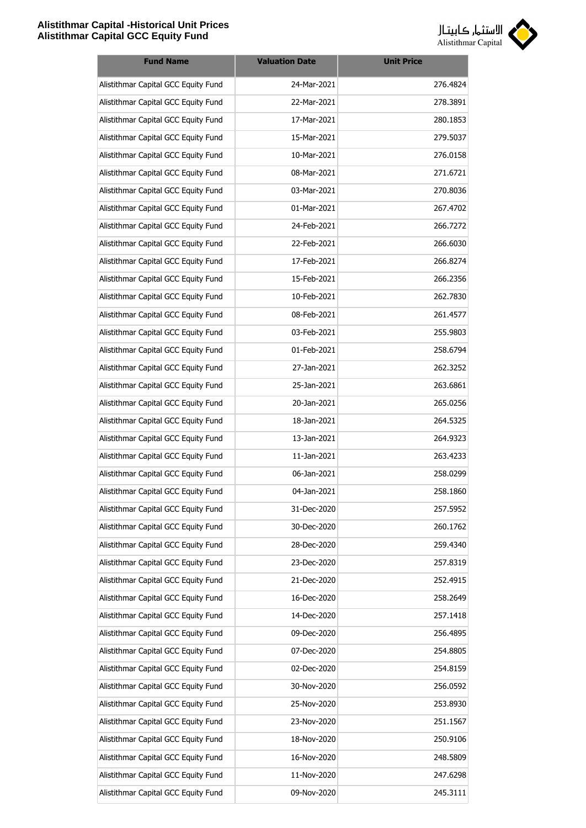

| <b>Fund Name</b>                    | <b>Valuation Date</b> | <b>Unit Price</b> |
|-------------------------------------|-----------------------|-------------------|
| Alistithmar Capital GCC Equity Fund | 24-Mar-2021           | 276.4824          |
| Alistithmar Capital GCC Equity Fund | 22-Mar-2021           | 278.3891          |
| Alistithmar Capital GCC Equity Fund | 17-Mar-2021           | 280.1853          |
| Alistithmar Capital GCC Equity Fund | 15-Mar-2021           | 279.5037          |
| Alistithmar Capital GCC Equity Fund | 10-Mar-2021           | 276.0158          |
| Alistithmar Capital GCC Equity Fund | 08-Mar-2021           | 271.6721          |
| Alistithmar Capital GCC Equity Fund | 03-Mar-2021           | 270.8036          |
| Alistithmar Capital GCC Equity Fund | 01-Mar-2021           | 267.4702          |
| Alistithmar Capital GCC Equity Fund | 24-Feb-2021           | 266.7272          |
| Alistithmar Capital GCC Equity Fund | 22-Feb-2021           | 266.6030          |
| Alistithmar Capital GCC Equity Fund | 17-Feb-2021           | 266.8274          |
| Alistithmar Capital GCC Equity Fund | 15-Feb-2021           | 266.2356          |
| Alistithmar Capital GCC Equity Fund | 10-Feb-2021           | 262.7830          |
| Alistithmar Capital GCC Equity Fund | 08-Feb-2021           | 261.4577          |
| Alistithmar Capital GCC Equity Fund | 03-Feb-2021           | 255.9803          |
| Alistithmar Capital GCC Equity Fund | 01-Feb-2021           | 258.6794          |
| Alistithmar Capital GCC Equity Fund | 27-Jan-2021           | 262.3252          |
| Alistithmar Capital GCC Equity Fund | 25-Jan-2021           | 263.6861          |
| Alistithmar Capital GCC Equity Fund | 20-Jan-2021           | 265.0256          |
| Alistithmar Capital GCC Equity Fund | 18-Jan-2021           | 264.5325          |
| Alistithmar Capital GCC Equity Fund | 13-Jan-2021           | 264.9323          |
| Alistithmar Capital GCC Equity Fund | 11-Jan-2021           | 263.4233          |
| Alistithmar Capital GCC Equity Fund | 06-Jan-2021           | 258.0299          |
| Alistithmar Capital GCC Equity Fund | 04-Jan-2021           | 258.1860          |
| Alistithmar Capital GCC Equity Fund | 31-Dec-2020           | 257.5952          |
| Alistithmar Capital GCC Equity Fund | 30-Dec-2020           | 260.1762          |
| Alistithmar Capital GCC Equity Fund | 28-Dec-2020           | 259.4340          |
| Alistithmar Capital GCC Equity Fund | 23-Dec-2020           | 257.8319          |
| Alistithmar Capital GCC Equity Fund | 21-Dec-2020           | 252.4915          |
| Alistithmar Capital GCC Equity Fund | 16-Dec-2020           | 258.2649          |
| Alistithmar Capital GCC Equity Fund | 14-Dec-2020           | 257.1418          |
| Alistithmar Capital GCC Equity Fund | 09-Dec-2020           | 256.4895          |
| Alistithmar Capital GCC Equity Fund | 07-Dec-2020           | 254.8805          |
| Alistithmar Capital GCC Equity Fund | 02-Dec-2020           | 254.8159          |
| Alistithmar Capital GCC Equity Fund | 30-Nov-2020           | 256.0592          |
| Alistithmar Capital GCC Equity Fund | 25-Nov-2020           | 253.8930          |
| Alistithmar Capital GCC Equity Fund | 23-Nov-2020           | 251.1567          |
| Alistithmar Capital GCC Equity Fund | 18-Nov-2020           | 250.9106          |
| Alistithmar Capital GCC Equity Fund | 16-Nov-2020           | 248.5809          |
| Alistithmar Capital GCC Equity Fund | 11-Nov-2020           | 247.6298          |
| Alistithmar Capital GCC Equity Fund | 09-Nov-2020           | 245.3111          |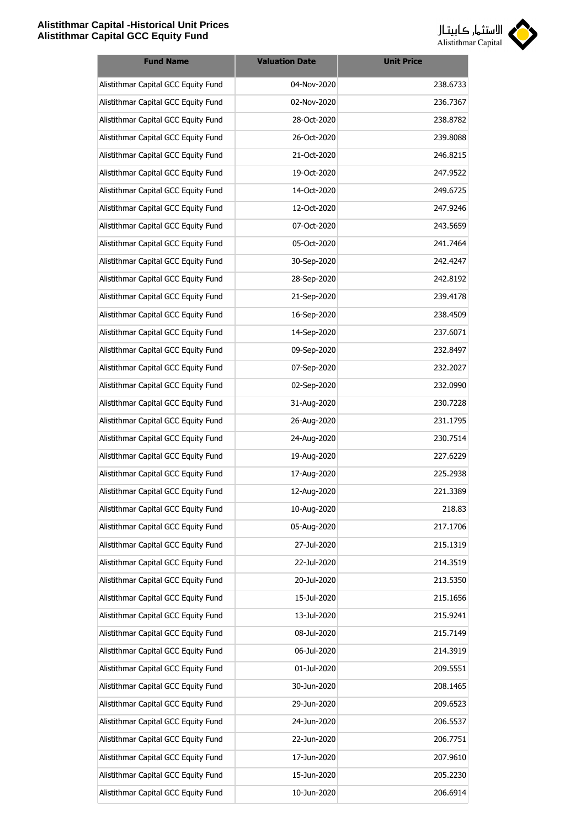

| <b>Fund Name</b>                    | <b>Valuation Date</b> | <b>Unit Price</b> |
|-------------------------------------|-----------------------|-------------------|
| Alistithmar Capital GCC Equity Fund | 04-Nov-2020           | 238.6733          |
| Alistithmar Capital GCC Equity Fund | 02-Nov-2020           | 236.7367          |
| Alistithmar Capital GCC Equity Fund | 28-Oct-2020           | 238.8782          |
| Alistithmar Capital GCC Equity Fund | 26-Oct-2020           | 239.8088          |
| Alistithmar Capital GCC Equity Fund | 21-Oct-2020           | 246.8215          |
| Alistithmar Capital GCC Equity Fund | 19-Oct-2020           | 247.9522          |
| Alistithmar Capital GCC Equity Fund | 14-Oct-2020           | 249.6725          |
| Alistithmar Capital GCC Equity Fund | 12-Oct-2020           | 247.9246          |
| Alistithmar Capital GCC Equity Fund | 07-Oct-2020           | 243.5659          |
| Alistithmar Capital GCC Equity Fund | 05-Oct-2020           | 241.7464          |
| Alistithmar Capital GCC Equity Fund | 30-Sep-2020           | 242.4247          |
| Alistithmar Capital GCC Equity Fund | 28-Sep-2020           | 242.8192          |
| Alistithmar Capital GCC Equity Fund | 21-Sep-2020           | 239.4178          |
| Alistithmar Capital GCC Equity Fund | 16-Sep-2020           | 238.4509          |
| Alistithmar Capital GCC Equity Fund | 14-Sep-2020           | 237.6071          |
| Alistithmar Capital GCC Equity Fund | 09-Sep-2020           | 232.8497          |
| Alistithmar Capital GCC Equity Fund | 07-Sep-2020           | 232.2027          |
| Alistithmar Capital GCC Equity Fund | 02-Sep-2020           | 232.0990          |
| Alistithmar Capital GCC Equity Fund | 31-Aug-2020           | 230.7228          |
| Alistithmar Capital GCC Equity Fund | 26-Aug-2020           | 231.1795          |
| Alistithmar Capital GCC Equity Fund | 24-Aug-2020           | 230.7514          |
| Alistithmar Capital GCC Equity Fund | 19-Aug-2020           | 227.6229          |
| Alistithmar Capital GCC Equity Fund | 17-Aug-2020           | 225.2938          |
| Alistithmar Capital GCC Equity Fund | 12-Aug-2020           | 221.3389          |
| Alistithmar Capital GCC Equity Fund | 10-Aug-2020           | 218.83            |
| Alistithmar Capital GCC Equity Fund | 05-Aug-2020           | 217.1706          |
| Alistithmar Capital GCC Equity Fund | 27-Jul-2020           | 215.1319          |
| Alistithmar Capital GCC Equity Fund | 22-Jul-2020           | 214.3519          |
| Alistithmar Capital GCC Equity Fund | 20-Jul-2020           | 213.5350          |
| Alistithmar Capital GCC Equity Fund | 15-Jul-2020           | 215.1656          |
| Alistithmar Capital GCC Equity Fund | 13-Jul-2020           | 215.9241          |
| Alistithmar Capital GCC Equity Fund | 08-Jul-2020           | 215.7149          |
| Alistithmar Capital GCC Equity Fund | 06-Jul-2020           | 214.3919          |
| Alistithmar Capital GCC Equity Fund | 01-Jul-2020           | 209.5551          |
| Alistithmar Capital GCC Equity Fund | 30-Jun-2020           | 208.1465          |
| Alistithmar Capital GCC Equity Fund | 29-Jun-2020           | 209.6523          |
| Alistithmar Capital GCC Equity Fund | 24-Jun-2020           | 206.5537          |
| Alistithmar Capital GCC Equity Fund | 22-Jun-2020           | 206.7751          |
| Alistithmar Capital GCC Equity Fund | 17-Jun-2020           | 207.9610          |
| Alistithmar Capital GCC Equity Fund | 15-Jun-2020           | 205.2230          |
| Alistithmar Capital GCC Equity Fund | 10-Jun-2020           | 206.6914          |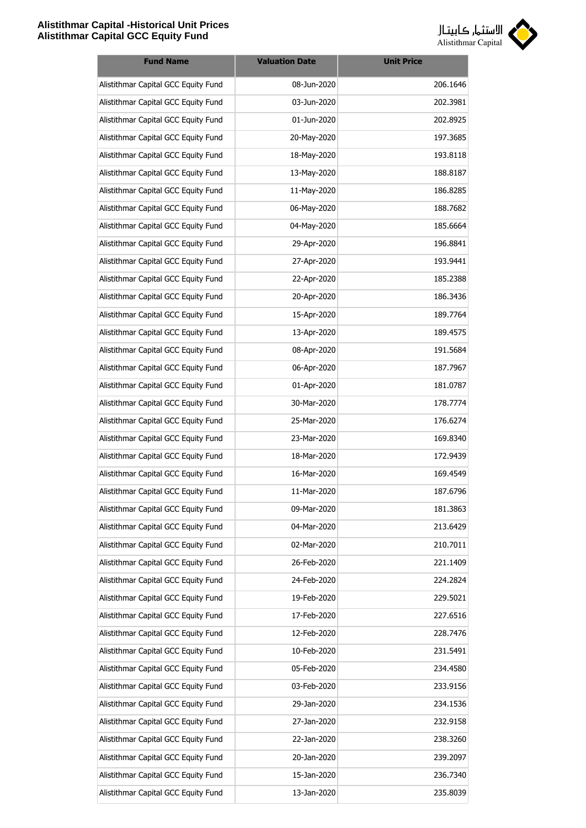

| <b>Fund Name</b>                    | <b>Valuation Date</b> | <b>Unit Price</b> |
|-------------------------------------|-----------------------|-------------------|
| Alistithmar Capital GCC Equity Fund | 08-Jun-2020           | 206.1646          |
| Alistithmar Capital GCC Equity Fund | 03-Jun-2020           | 202.3981          |
| Alistithmar Capital GCC Equity Fund | 01-Jun-2020           | 202.8925          |
| Alistithmar Capital GCC Equity Fund | 20-May-2020           | 197.3685          |
| Alistithmar Capital GCC Equity Fund | 18-May-2020           | 193.8118          |
| Alistithmar Capital GCC Equity Fund | 13-May-2020           | 188.8187          |
| Alistithmar Capital GCC Equity Fund | 11-May-2020           | 186.8285          |
| Alistithmar Capital GCC Equity Fund | 06-May-2020           | 188.7682          |
| Alistithmar Capital GCC Equity Fund | 04-May-2020           | 185.6664          |
| Alistithmar Capital GCC Equity Fund | 29-Apr-2020           | 196.8841          |
| Alistithmar Capital GCC Equity Fund | 27-Apr-2020           | 193.9441          |
| Alistithmar Capital GCC Equity Fund | 22-Apr-2020           | 185.2388          |
| Alistithmar Capital GCC Equity Fund | 20-Apr-2020           | 186.3436          |
| Alistithmar Capital GCC Equity Fund | 15-Apr-2020           | 189.7764          |
| Alistithmar Capital GCC Equity Fund | 13-Apr-2020           | 189.4575          |
| Alistithmar Capital GCC Equity Fund | 08-Apr-2020           | 191.5684          |
| Alistithmar Capital GCC Equity Fund | 06-Apr-2020           | 187.7967          |
| Alistithmar Capital GCC Equity Fund | 01-Apr-2020           | 181.0787          |
| Alistithmar Capital GCC Equity Fund | 30-Mar-2020           | 178.7774          |
| Alistithmar Capital GCC Equity Fund | 25-Mar-2020           | 176.6274          |
| Alistithmar Capital GCC Equity Fund | 23-Mar-2020           | 169.8340          |
| Alistithmar Capital GCC Equity Fund | 18-Mar-2020           | 172.9439          |
| Alistithmar Capital GCC Equity Fund | 16-Mar-2020           | 169.4549          |
| Alistithmar Capital GCC Equity Fund | 11-Mar-2020           | 187.6796          |
| Alistithmar Capital GCC Equity Fund | 09-Mar-2020           | 181.3863          |
| Alistithmar Capital GCC Equity Fund | 04-Mar-2020           | 213.6429          |
| Alistithmar Capital GCC Equity Fund | 02-Mar-2020           | 210.7011          |
| Alistithmar Capital GCC Equity Fund | 26-Feb-2020           | 221.1409          |
| Alistithmar Capital GCC Equity Fund | 24-Feb-2020           | 224.2824          |
| Alistithmar Capital GCC Equity Fund | 19-Feb-2020           | 229.5021          |
| Alistithmar Capital GCC Equity Fund | 17-Feb-2020           | 227.6516          |
| Alistithmar Capital GCC Equity Fund | 12-Feb-2020           | 228.7476          |
| Alistithmar Capital GCC Equity Fund | 10-Feb-2020           | 231.5491          |
| Alistithmar Capital GCC Equity Fund | 05-Feb-2020           | 234.4580          |
| Alistithmar Capital GCC Equity Fund | 03-Feb-2020           | 233.9156          |
| Alistithmar Capital GCC Equity Fund | 29-Jan-2020           | 234.1536          |
| Alistithmar Capital GCC Equity Fund | 27-Jan-2020           | 232.9158          |
| Alistithmar Capital GCC Equity Fund | 22-Jan-2020           | 238.3260          |
| Alistithmar Capital GCC Equity Fund | 20-Jan-2020           | 239.2097          |
| Alistithmar Capital GCC Equity Fund | 15-Jan-2020           | 236.7340          |
| Alistithmar Capital GCC Equity Fund | 13-Jan-2020           | 235.8039          |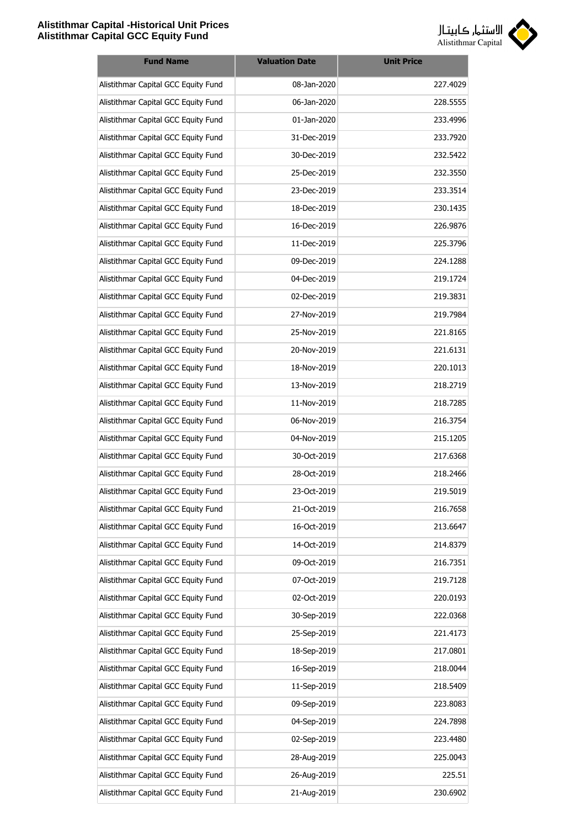

| <b>Fund Name</b>                    | <b>Valuation Date</b> | <b>Unit Price</b> |
|-------------------------------------|-----------------------|-------------------|
| Alistithmar Capital GCC Equity Fund | 08-Jan-2020           | 227.4029          |
| Alistithmar Capital GCC Equity Fund | 06-Jan-2020           | 228.5555          |
| Alistithmar Capital GCC Equity Fund | 01-Jan-2020           | 233.4996          |
| Alistithmar Capital GCC Equity Fund | 31-Dec-2019           | 233.7920          |
| Alistithmar Capital GCC Equity Fund | 30-Dec-2019           | 232.5422          |
| Alistithmar Capital GCC Equity Fund | 25-Dec-2019           | 232.3550          |
| Alistithmar Capital GCC Equity Fund | 23-Dec-2019           | 233.3514          |
| Alistithmar Capital GCC Equity Fund | 18-Dec-2019           | 230.1435          |
| Alistithmar Capital GCC Equity Fund | 16-Dec-2019           | 226.9876          |
| Alistithmar Capital GCC Equity Fund | 11-Dec-2019           | 225.3796          |
| Alistithmar Capital GCC Equity Fund | 09-Dec-2019           | 224.1288          |
| Alistithmar Capital GCC Equity Fund | 04-Dec-2019           | 219.1724          |
| Alistithmar Capital GCC Equity Fund | 02-Dec-2019           | 219.3831          |
| Alistithmar Capital GCC Equity Fund | 27-Nov-2019           | 219.7984          |
| Alistithmar Capital GCC Equity Fund | 25-Nov-2019           | 221.8165          |
| Alistithmar Capital GCC Equity Fund | 20-Nov-2019           | 221.6131          |
| Alistithmar Capital GCC Equity Fund | 18-Nov-2019           | 220.1013          |
| Alistithmar Capital GCC Equity Fund | 13-Nov-2019           | 218.2719          |
| Alistithmar Capital GCC Equity Fund | 11-Nov-2019           | 218.7285          |
| Alistithmar Capital GCC Equity Fund | 06-Nov-2019           | 216.3754          |
| Alistithmar Capital GCC Equity Fund | 04-Nov-2019           | 215.1205          |
| Alistithmar Capital GCC Equity Fund | 30-Oct-2019           | 217.6368          |
| Alistithmar Capital GCC Equity Fund | 28-Oct-2019           | 218.2466          |
| Alistithmar Capital GCC Equity Fund | 23-Oct-2019           | 219.5019          |
| Alistithmar Capital GCC Equity Fund | 21-Oct-2019           | 216.7658          |
| Alistithmar Capital GCC Equity Fund | 16-Oct-2019           | 213.6647          |
| Alistithmar Capital GCC Equity Fund | 14-Oct-2019           | 214.8379          |
| Alistithmar Capital GCC Equity Fund | 09-Oct-2019           | 216.7351          |
| Alistithmar Capital GCC Equity Fund | 07-Oct-2019           | 219.7128          |
| Alistithmar Capital GCC Equity Fund | 02-Oct-2019           | 220.0193          |
| Alistithmar Capital GCC Equity Fund | 30-Sep-2019           | 222.0368          |
| Alistithmar Capital GCC Equity Fund | 25-Sep-2019           | 221.4173          |
| Alistithmar Capital GCC Equity Fund | 18-Sep-2019           | 217.0801          |
| Alistithmar Capital GCC Equity Fund | 16-Sep-2019           | 218.0044          |
| Alistithmar Capital GCC Equity Fund | 11-Sep-2019           | 218.5409          |
| Alistithmar Capital GCC Equity Fund | 09-Sep-2019           | 223.8083          |
| Alistithmar Capital GCC Equity Fund | 04-Sep-2019           | 224.7898          |
| Alistithmar Capital GCC Equity Fund | 02-Sep-2019           | 223.4480          |
| Alistithmar Capital GCC Equity Fund | 28-Aug-2019           | 225.0043          |
| Alistithmar Capital GCC Equity Fund | 26-Aug-2019           | 225.51            |
| Alistithmar Capital GCC Equity Fund | 21-Aug-2019           | 230.6902          |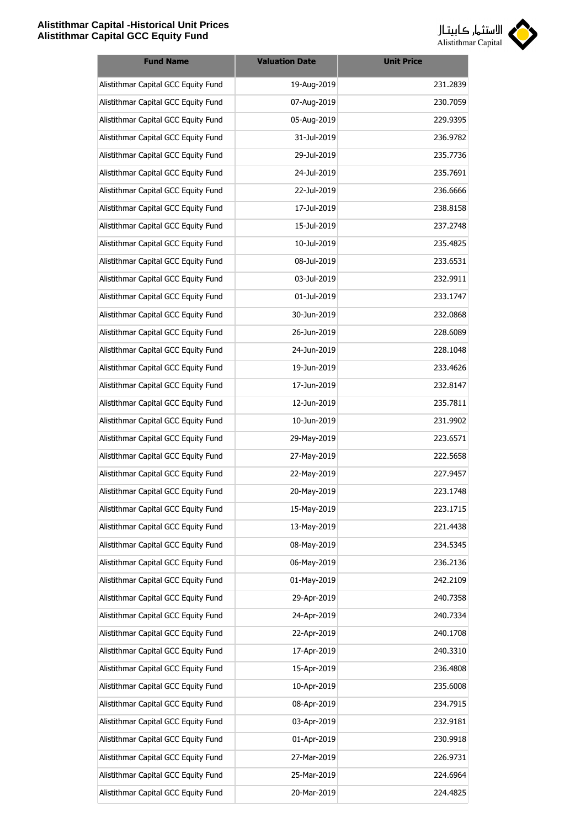

| <b>Fund Name</b>                    | <b>Valuation Date</b> | <b>Unit Price</b> |
|-------------------------------------|-----------------------|-------------------|
| Alistithmar Capital GCC Equity Fund | 19-Aug-2019           | 231.2839          |
| Alistithmar Capital GCC Equity Fund | 07-Aug-2019           | 230.7059          |
| Alistithmar Capital GCC Equity Fund | 05-Aug-2019           | 229.9395          |
| Alistithmar Capital GCC Equity Fund | 31-Jul-2019           | 236.9782          |
| Alistithmar Capital GCC Equity Fund | 29-Jul-2019           | 235.7736          |
| Alistithmar Capital GCC Equity Fund | 24-Jul-2019           | 235.7691          |
| Alistithmar Capital GCC Equity Fund | 22-Jul-2019           | 236.6666          |
| Alistithmar Capital GCC Equity Fund | 17-Jul-2019           | 238.8158          |
| Alistithmar Capital GCC Equity Fund | 15-Jul-2019           | 237.2748          |
| Alistithmar Capital GCC Equity Fund | 10-Jul-2019           | 235.4825          |
| Alistithmar Capital GCC Equity Fund | 08-Jul-2019           | 233.6531          |
| Alistithmar Capital GCC Equity Fund | 03-Jul-2019           | 232.9911          |
| Alistithmar Capital GCC Equity Fund | 01-Jul-2019           | 233.1747          |
| Alistithmar Capital GCC Equity Fund | 30-Jun-2019           | 232.0868          |
| Alistithmar Capital GCC Equity Fund | 26-Jun-2019           | 228.6089          |
| Alistithmar Capital GCC Equity Fund | 24-Jun-2019           | 228.1048          |
| Alistithmar Capital GCC Equity Fund | 19-Jun-2019           | 233.4626          |
| Alistithmar Capital GCC Equity Fund | 17-Jun-2019           | 232.8147          |
| Alistithmar Capital GCC Equity Fund | 12-Jun-2019           | 235.7811          |
| Alistithmar Capital GCC Equity Fund | 10-Jun-2019           | 231.9902          |
| Alistithmar Capital GCC Equity Fund | 29-May-2019           | 223.6571          |
| Alistithmar Capital GCC Equity Fund | 27-May-2019           | 222.5658          |
| Alistithmar Capital GCC Equity Fund | 22-May-2019           | 227.9457          |
| Alistithmar Capital GCC Equity Fund | 20-May-2019           | 223.1748          |
| Alistithmar Capital GCC Equity Fund | 15-May-2019           | 223.1715          |
| Alistithmar Capital GCC Equity Fund | 13-May-2019           | 221.4438          |
| Alistithmar Capital GCC Equity Fund | 08-May-2019           | 234.5345          |
| Alistithmar Capital GCC Equity Fund | 06-May-2019           | 236.2136          |
| Alistithmar Capital GCC Equity Fund | 01-May-2019           | 242.2109          |
| Alistithmar Capital GCC Equity Fund | 29-Apr-2019           | 240.7358          |
| Alistithmar Capital GCC Equity Fund | 24-Apr-2019           | 240.7334          |
| Alistithmar Capital GCC Equity Fund | 22-Apr-2019           | 240.1708          |
| Alistithmar Capital GCC Equity Fund | 17-Apr-2019           | 240.3310          |
| Alistithmar Capital GCC Equity Fund | 15-Apr-2019           | 236.4808          |
| Alistithmar Capital GCC Equity Fund | 10-Apr-2019           | 235.6008          |
| Alistithmar Capital GCC Equity Fund | 08-Apr-2019           | 234.7915          |
| Alistithmar Capital GCC Equity Fund | 03-Apr-2019           | 232.9181          |
| Alistithmar Capital GCC Equity Fund | 01-Apr-2019           | 230.9918          |
| Alistithmar Capital GCC Equity Fund | 27-Mar-2019           | 226.9731          |
| Alistithmar Capital GCC Equity Fund | 25-Mar-2019           | 224.6964          |
| Alistithmar Capital GCC Equity Fund | 20-Mar-2019           | 224.4825          |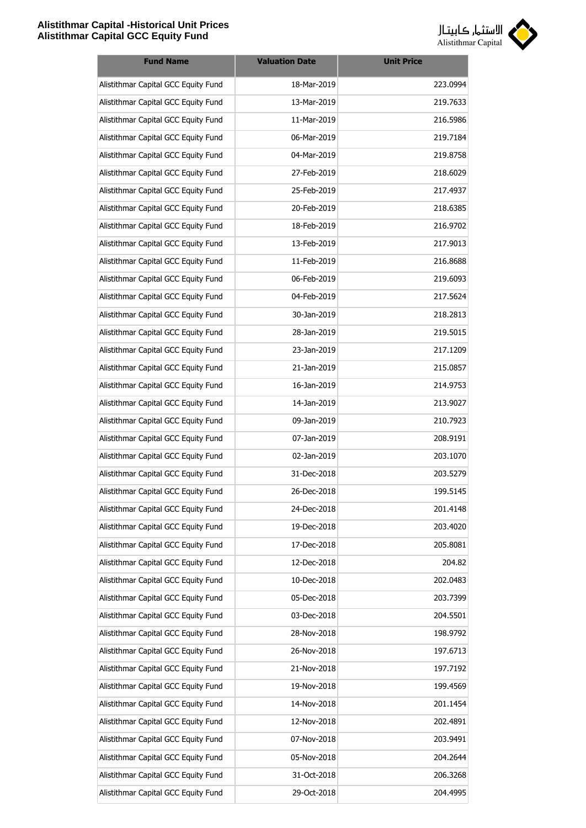

| <b>Fund Name</b>                    | <b>Valuation Date</b> | <b>Unit Price</b> |
|-------------------------------------|-----------------------|-------------------|
| Alistithmar Capital GCC Equity Fund | 18-Mar-2019           | 223.0994          |
| Alistithmar Capital GCC Equity Fund | 13-Mar-2019           | 219.7633          |
| Alistithmar Capital GCC Equity Fund | 11-Mar-2019           | 216.5986          |
| Alistithmar Capital GCC Equity Fund | 06-Mar-2019           | 219.7184          |
| Alistithmar Capital GCC Equity Fund | 04-Mar-2019           | 219.8758          |
| Alistithmar Capital GCC Equity Fund | 27-Feb-2019           | 218.6029          |
| Alistithmar Capital GCC Equity Fund | 25-Feb-2019           | 217.4937          |
| Alistithmar Capital GCC Equity Fund | 20-Feb-2019           | 218.6385          |
| Alistithmar Capital GCC Equity Fund | 18-Feb-2019           | 216.9702          |
| Alistithmar Capital GCC Equity Fund | 13-Feb-2019           | 217.9013          |
| Alistithmar Capital GCC Equity Fund | 11-Feb-2019           | 216.8688          |
| Alistithmar Capital GCC Equity Fund | 06-Feb-2019           | 219.6093          |
| Alistithmar Capital GCC Equity Fund | 04-Feb-2019           | 217.5624          |
| Alistithmar Capital GCC Equity Fund | 30-Jan-2019           | 218.2813          |
| Alistithmar Capital GCC Equity Fund | 28-Jan-2019           | 219.5015          |
| Alistithmar Capital GCC Equity Fund | 23-Jan-2019           | 217.1209          |
| Alistithmar Capital GCC Equity Fund | 21-Jan-2019           | 215.0857          |
| Alistithmar Capital GCC Equity Fund | 16-Jan-2019           | 214.9753          |
| Alistithmar Capital GCC Equity Fund | 14-Jan-2019           | 213.9027          |
| Alistithmar Capital GCC Equity Fund | 09-Jan-2019           | 210.7923          |
| Alistithmar Capital GCC Equity Fund | 07-Jan-2019           | 208.9191          |
| Alistithmar Capital GCC Equity Fund | 02-Jan-2019           | 203.1070          |
| Alistithmar Capital GCC Equity Fund | 31-Dec-2018           | 203.5279          |
| Alistithmar Capital GCC Equity Fund | 26-Dec-2018           | 199.5145          |
| Alistithmar Capital GCC Equity Fund | 24-Dec-2018           | 201.4148          |
| Alistithmar Capital GCC Equity Fund | 19-Dec-2018           | 203.4020          |
| Alistithmar Capital GCC Equity Fund | 17-Dec-2018           | 205.8081          |
| Alistithmar Capital GCC Equity Fund | 12-Dec-2018           | 204.82            |
| Alistithmar Capital GCC Equity Fund | 10-Dec-2018           | 202.0483          |
| Alistithmar Capital GCC Equity Fund | 05-Dec-2018           | 203.7399          |
| Alistithmar Capital GCC Equity Fund | 03-Dec-2018           | 204.5501          |
| Alistithmar Capital GCC Equity Fund | 28-Nov-2018           | 198.9792          |
| Alistithmar Capital GCC Equity Fund | 26-Nov-2018           | 197.6713          |
| Alistithmar Capital GCC Equity Fund | 21-Nov-2018           | 197.7192          |
| Alistithmar Capital GCC Equity Fund | 19-Nov-2018           | 199.4569          |
| Alistithmar Capital GCC Equity Fund | 14-Nov-2018           | 201.1454          |
| Alistithmar Capital GCC Equity Fund | 12-Nov-2018           | 202.4891          |
| Alistithmar Capital GCC Equity Fund | 07-Nov-2018           | 203.9491          |
| Alistithmar Capital GCC Equity Fund | 05-Nov-2018           | 204.2644          |
| Alistithmar Capital GCC Equity Fund | 31-Oct-2018           | 206.3268          |
| Alistithmar Capital GCC Equity Fund | 29-Oct-2018           | 204.4995          |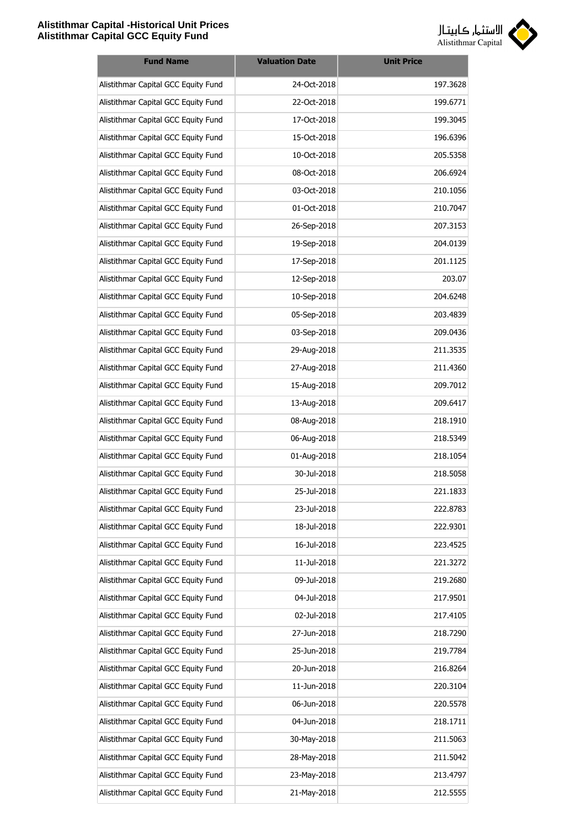

| <b>Fund Name</b>                    | <b>Valuation Date</b> | <b>Unit Price</b> |
|-------------------------------------|-----------------------|-------------------|
| Alistithmar Capital GCC Equity Fund | 24-Oct-2018           | 197.3628          |
| Alistithmar Capital GCC Equity Fund | 22-Oct-2018           | 199.6771          |
| Alistithmar Capital GCC Equity Fund | 17-Oct-2018           | 199.3045          |
| Alistithmar Capital GCC Equity Fund | 15-Oct-2018           | 196.6396          |
| Alistithmar Capital GCC Equity Fund | 10-Oct-2018           | 205.5358          |
| Alistithmar Capital GCC Equity Fund | 08-Oct-2018           | 206.6924          |
| Alistithmar Capital GCC Equity Fund | 03-Oct-2018           | 210.1056          |
| Alistithmar Capital GCC Equity Fund | 01-Oct-2018           | 210.7047          |
| Alistithmar Capital GCC Equity Fund | 26-Sep-2018           | 207.3153          |
| Alistithmar Capital GCC Equity Fund | 19-Sep-2018           | 204.0139          |
| Alistithmar Capital GCC Equity Fund | 17-Sep-2018           | 201.1125          |
| Alistithmar Capital GCC Equity Fund | 12-Sep-2018           | 203.07            |
| Alistithmar Capital GCC Equity Fund | 10-Sep-2018           | 204.6248          |
| Alistithmar Capital GCC Equity Fund | 05-Sep-2018           | 203.4839          |
| Alistithmar Capital GCC Equity Fund | 03-Sep-2018           | 209.0436          |
| Alistithmar Capital GCC Equity Fund | 29-Aug-2018           | 211.3535          |
| Alistithmar Capital GCC Equity Fund | 27-Aug-2018           | 211.4360          |
| Alistithmar Capital GCC Equity Fund | 15-Aug-2018           | 209.7012          |
| Alistithmar Capital GCC Equity Fund | 13-Aug-2018           | 209.6417          |
| Alistithmar Capital GCC Equity Fund | 08-Aug-2018           | 218.1910          |
| Alistithmar Capital GCC Equity Fund | 06-Aug-2018           | 218.5349          |
| Alistithmar Capital GCC Equity Fund | 01-Aug-2018           | 218.1054          |
| Alistithmar Capital GCC Equity Fund | 30-Jul-2018           | 218.5058          |
| Alistithmar Capital GCC Equity Fund | 25-Jul-2018           | 221.1833          |
| Alistithmar Capital GCC Equity Fund | 23-Jul-2018           | 222.8783          |
| Alistithmar Capital GCC Equity Fund | 18-Jul-2018           | 222.9301          |
| Alistithmar Capital GCC Equity Fund | 16-Jul-2018           | 223.4525          |
| Alistithmar Capital GCC Equity Fund | 11-Jul-2018           | 221.3272          |
| Alistithmar Capital GCC Equity Fund | 09-Jul-2018           | 219.2680          |
| Alistithmar Capital GCC Equity Fund | 04-Jul-2018           | 217.9501          |
| Alistithmar Capital GCC Equity Fund | 02-Jul-2018           | 217.4105          |
| Alistithmar Capital GCC Equity Fund | 27-Jun-2018           | 218.7290          |
| Alistithmar Capital GCC Equity Fund | 25-Jun-2018           | 219.7784          |
| Alistithmar Capital GCC Equity Fund | 20-Jun-2018           | 216.8264          |
| Alistithmar Capital GCC Equity Fund | 11-Jun-2018           | 220.3104          |
| Alistithmar Capital GCC Equity Fund | 06-Jun-2018           | 220.5578          |
| Alistithmar Capital GCC Equity Fund | 04-Jun-2018           | 218.1711          |
| Alistithmar Capital GCC Equity Fund | 30-May-2018           | 211.5063          |
| Alistithmar Capital GCC Equity Fund | 28-May-2018           | 211.5042          |
| Alistithmar Capital GCC Equity Fund | 23-May-2018           | 213.4797          |
| Alistithmar Capital GCC Equity Fund | 21-May-2018           | 212.5555          |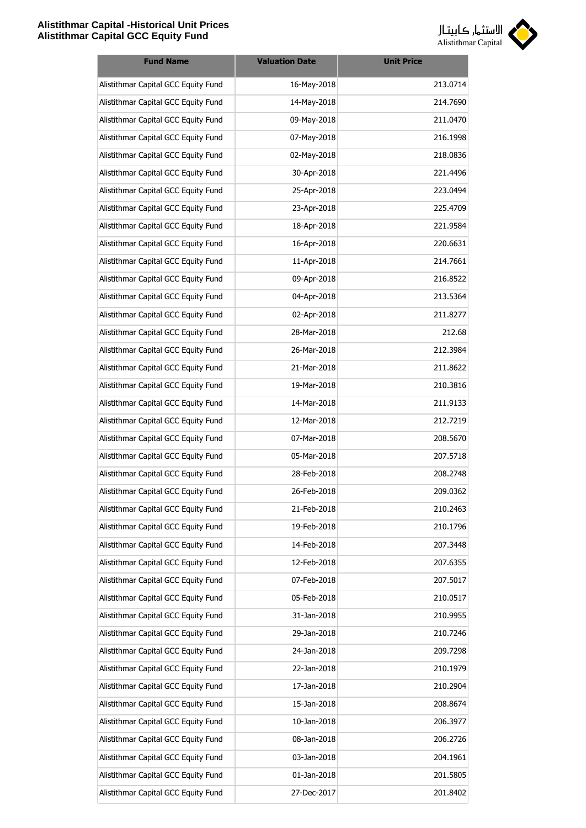

| <b>Fund Name</b>                    | <b>Valuation Date</b> | <b>Unit Price</b> |
|-------------------------------------|-----------------------|-------------------|
| Alistithmar Capital GCC Equity Fund | 16-May-2018           | 213.0714          |
| Alistithmar Capital GCC Equity Fund | 14-May-2018           | 214.7690          |
| Alistithmar Capital GCC Equity Fund | 09-May-2018           | 211.0470          |
| Alistithmar Capital GCC Equity Fund | 07-May-2018           | 216.1998          |
| Alistithmar Capital GCC Equity Fund | 02-May-2018           | 218.0836          |
| Alistithmar Capital GCC Equity Fund | 30-Apr-2018           | 221.4496          |
| Alistithmar Capital GCC Equity Fund | 25-Apr-2018           | 223.0494          |
| Alistithmar Capital GCC Equity Fund | 23-Apr-2018           | 225.4709          |
| Alistithmar Capital GCC Equity Fund | 18-Apr-2018           | 221.9584          |
| Alistithmar Capital GCC Equity Fund | 16-Apr-2018           | 220.6631          |
| Alistithmar Capital GCC Equity Fund | 11-Apr-2018           | 214.7661          |
| Alistithmar Capital GCC Equity Fund | 09-Apr-2018           | 216.8522          |
| Alistithmar Capital GCC Equity Fund | 04-Apr-2018           | 213.5364          |
| Alistithmar Capital GCC Equity Fund | 02-Apr-2018           | 211.8277          |
| Alistithmar Capital GCC Equity Fund | 28-Mar-2018           | 212.68            |
| Alistithmar Capital GCC Equity Fund | 26-Mar-2018           | 212.3984          |
| Alistithmar Capital GCC Equity Fund | 21-Mar-2018           | 211.8622          |
| Alistithmar Capital GCC Equity Fund | 19-Mar-2018           | 210.3816          |
| Alistithmar Capital GCC Equity Fund | 14-Mar-2018           | 211.9133          |
| Alistithmar Capital GCC Equity Fund | 12-Mar-2018           | 212.7219          |
| Alistithmar Capital GCC Equity Fund | 07-Mar-2018           | 208.5670          |
| Alistithmar Capital GCC Equity Fund | 05-Mar-2018           | 207.5718          |
| Alistithmar Capital GCC Equity Fund | 28-Feb-2018           | 208.2748          |
| Alistithmar Capital GCC Equity Fund | 26-Feb-2018           | 209.0362          |
| Alistithmar Capital GCC Equity Fund | 21-Feb-2018           | 210.2463          |
| Alistithmar Capital GCC Equity Fund | 19-Feb-2018           | 210.1796          |
| Alistithmar Capital GCC Equity Fund | 14-Feb-2018           | 207.3448          |
| Alistithmar Capital GCC Equity Fund | 12-Feb-2018           | 207.6355          |
| Alistithmar Capital GCC Equity Fund | 07-Feb-2018           | 207.5017          |
| Alistithmar Capital GCC Equity Fund | 05-Feb-2018           | 210.0517          |
| Alistithmar Capital GCC Equity Fund | 31-Jan-2018           | 210.9955          |
| Alistithmar Capital GCC Equity Fund | 29-Jan-2018           | 210.7246          |
| Alistithmar Capital GCC Equity Fund | 24-Jan-2018           | 209.7298          |
| Alistithmar Capital GCC Equity Fund | 22-Jan-2018           | 210.1979          |
| Alistithmar Capital GCC Equity Fund | 17-Jan-2018           | 210.2904          |
| Alistithmar Capital GCC Equity Fund | 15-Jan-2018           | 208.8674          |
| Alistithmar Capital GCC Equity Fund | 10-Jan-2018           | 206.3977          |
| Alistithmar Capital GCC Equity Fund | 08-Jan-2018           | 206.2726          |
| Alistithmar Capital GCC Equity Fund | 03-Jan-2018           | 204.1961          |
| Alistithmar Capital GCC Equity Fund | 01-Jan-2018           | 201.5805          |
| Alistithmar Capital GCC Equity Fund | 27-Dec-2017           | 201.8402          |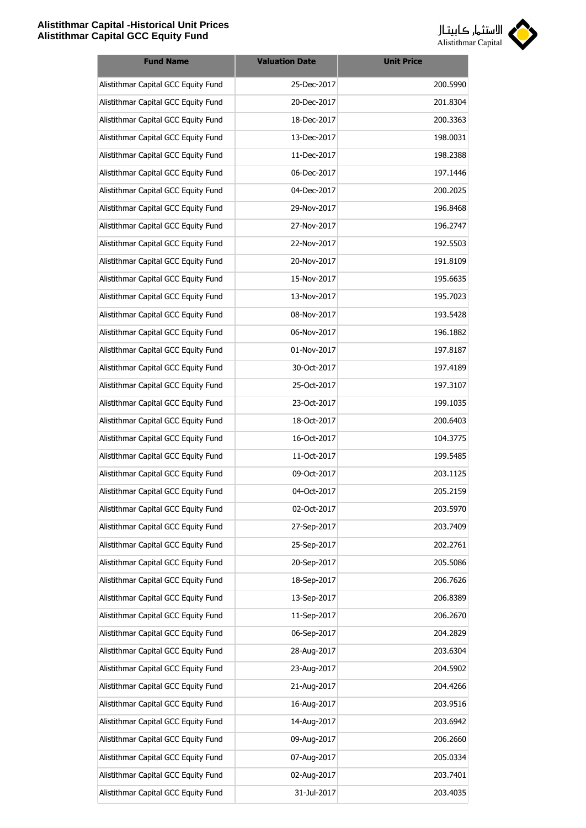

| <b>Fund Name</b>                    | <b>Valuation Date</b> | <b>Unit Price</b> |
|-------------------------------------|-----------------------|-------------------|
| Alistithmar Capital GCC Equity Fund | 25-Dec-2017           | 200.5990          |
| Alistithmar Capital GCC Equity Fund | 20-Dec-2017           | 201.8304          |
| Alistithmar Capital GCC Equity Fund | 18-Dec-2017           | 200.3363          |
| Alistithmar Capital GCC Equity Fund | 13-Dec-2017           | 198.0031          |
| Alistithmar Capital GCC Equity Fund | 11-Dec-2017           | 198.2388          |
| Alistithmar Capital GCC Equity Fund | 06-Dec-2017           | 197.1446          |
| Alistithmar Capital GCC Equity Fund | 04-Dec-2017           | 200.2025          |
| Alistithmar Capital GCC Equity Fund | 29-Nov-2017           | 196.8468          |
| Alistithmar Capital GCC Equity Fund | 27-Nov-2017           | 196.2747          |
| Alistithmar Capital GCC Equity Fund | 22-Nov-2017           | 192.5503          |
| Alistithmar Capital GCC Equity Fund | 20-Nov-2017           | 191.8109          |
| Alistithmar Capital GCC Equity Fund | 15-Nov-2017           | 195.6635          |
| Alistithmar Capital GCC Equity Fund | 13-Nov-2017           | 195.7023          |
| Alistithmar Capital GCC Equity Fund | 08-Nov-2017           | 193.5428          |
| Alistithmar Capital GCC Equity Fund | 06-Nov-2017           | 196.1882          |
| Alistithmar Capital GCC Equity Fund | 01-Nov-2017           | 197.8187          |
| Alistithmar Capital GCC Equity Fund | 30-Oct-2017           | 197.4189          |
| Alistithmar Capital GCC Equity Fund | 25-Oct-2017           | 197.3107          |
| Alistithmar Capital GCC Equity Fund | 23-Oct-2017           | 199.1035          |
| Alistithmar Capital GCC Equity Fund | 18-Oct-2017           | 200.6403          |
| Alistithmar Capital GCC Equity Fund | 16-Oct-2017           | 104.3775          |
| Alistithmar Capital GCC Equity Fund | 11-Oct-2017           | 199.5485          |
| Alistithmar Capital GCC Equity Fund | 09-Oct-2017           | 203.1125          |
| Alistithmar Capital GCC Equity Fund | 04-Oct-2017           | 205.2159          |
| Alistithmar Capital GCC Equity Fund | 02-Oct-2017           | 203.5970          |
| Alistithmar Capital GCC Equity Fund | 27-Sep-2017           | 203.7409          |
| Alistithmar Capital GCC Equity Fund | 25-Sep-2017           | 202.2761          |
| Alistithmar Capital GCC Equity Fund | 20-Sep-2017           | 205.5086          |
| Alistithmar Capital GCC Equity Fund | 18-Sep-2017           | 206.7626          |
| Alistithmar Capital GCC Equity Fund | 13-Sep-2017           | 206.8389          |
| Alistithmar Capital GCC Equity Fund | 11-Sep-2017           | 206.2670          |
| Alistithmar Capital GCC Equity Fund | 06-Sep-2017           | 204.2829          |
| Alistithmar Capital GCC Equity Fund | 28-Aug-2017           | 203.6304          |
| Alistithmar Capital GCC Equity Fund | 23-Aug-2017           | 204.5902          |
| Alistithmar Capital GCC Equity Fund | 21-Aug-2017           | 204.4266          |
| Alistithmar Capital GCC Equity Fund | 16-Aug-2017           | 203.9516          |
| Alistithmar Capital GCC Equity Fund | 14-Aug-2017           | 203.6942          |
| Alistithmar Capital GCC Equity Fund | 09-Aug-2017           | 206.2660          |
| Alistithmar Capital GCC Equity Fund | 07-Aug-2017           | 205.0334          |
| Alistithmar Capital GCC Equity Fund | 02-Aug-2017           | 203.7401          |
| Alistithmar Capital GCC Equity Fund | 31-Jul-2017           | 203.4035          |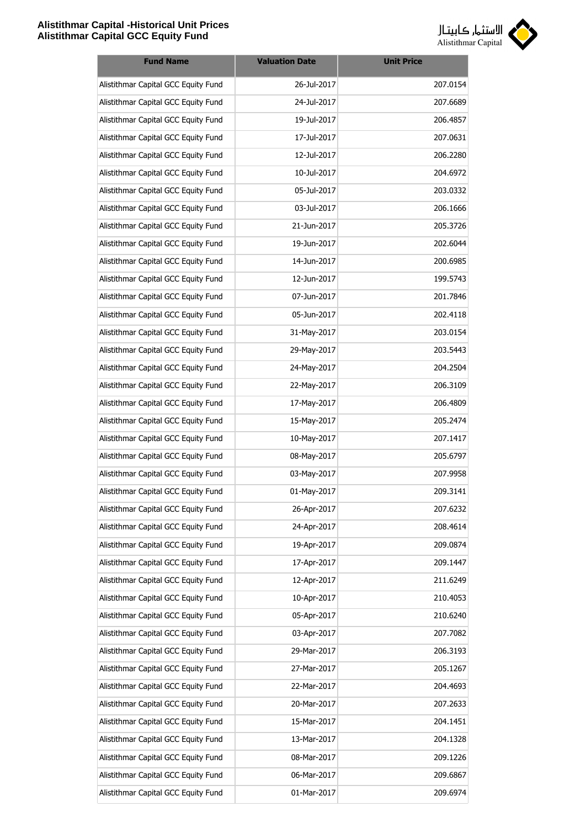

| <b>Fund Name</b>                    | <b>Valuation Date</b> | <b>Unit Price</b> |
|-------------------------------------|-----------------------|-------------------|
| Alistithmar Capital GCC Equity Fund | 26-Jul-2017           | 207.0154          |
| Alistithmar Capital GCC Equity Fund | 24-Jul-2017           | 207.6689          |
| Alistithmar Capital GCC Equity Fund | 19-Jul-2017           | 206.4857          |
| Alistithmar Capital GCC Equity Fund | 17-Jul-2017           | 207.0631          |
| Alistithmar Capital GCC Equity Fund | 12-Jul-2017           | 206.2280          |
| Alistithmar Capital GCC Equity Fund | 10-Jul-2017           | 204.6972          |
| Alistithmar Capital GCC Equity Fund | 05-Jul-2017           | 203.0332          |
| Alistithmar Capital GCC Equity Fund | 03-Jul-2017           | 206.1666          |
| Alistithmar Capital GCC Equity Fund | 21-Jun-2017           | 205.3726          |
| Alistithmar Capital GCC Equity Fund | 19-Jun-2017           | 202.6044          |
| Alistithmar Capital GCC Equity Fund | 14-Jun-2017           | 200.6985          |
| Alistithmar Capital GCC Equity Fund | 12-Jun-2017           | 199.5743          |
| Alistithmar Capital GCC Equity Fund | 07-Jun-2017           | 201.7846          |
| Alistithmar Capital GCC Equity Fund | 05-Jun-2017           | 202.4118          |
| Alistithmar Capital GCC Equity Fund | 31-May-2017           | 203.0154          |
| Alistithmar Capital GCC Equity Fund | 29-May-2017           | 203.5443          |
| Alistithmar Capital GCC Equity Fund | 24-May-2017           | 204.2504          |
| Alistithmar Capital GCC Equity Fund | 22-May-2017           | 206.3109          |
| Alistithmar Capital GCC Equity Fund | 17-May-2017           | 206.4809          |
| Alistithmar Capital GCC Equity Fund | 15-May-2017           | 205.2474          |
| Alistithmar Capital GCC Equity Fund | 10-May-2017           | 207.1417          |
| Alistithmar Capital GCC Equity Fund | 08-May-2017           | 205.6797          |
| Alistithmar Capital GCC Equity Fund | 03-May-2017           | 207.9958          |
| Alistithmar Capital GCC Equity Fund | 01-May-2017           | 209.3141          |
| Alistithmar Capital GCC Equity Fund | 26-Apr-2017           | 207.6232          |
| Alistithmar Capital GCC Equity Fund | 24-Apr-2017           | 208.4614          |
| Alistithmar Capital GCC Equity Fund | 19-Apr-2017           | 209.0874          |
| Alistithmar Capital GCC Equity Fund | 17-Apr-2017           | 209.1447          |
| Alistithmar Capital GCC Equity Fund | 12-Apr-2017           | 211.6249          |
| Alistithmar Capital GCC Equity Fund | 10-Apr-2017           | 210.4053          |
| Alistithmar Capital GCC Equity Fund | 05-Apr-2017           | 210.6240          |
| Alistithmar Capital GCC Equity Fund | 03-Apr-2017           | 207.7082          |
| Alistithmar Capital GCC Equity Fund | 29-Mar-2017           | 206.3193          |
| Alistithmar Capital GCC Equity Fund | 27-Mar-2017           | 205.1267          |
| Alistithmar Capital GCC Equity Fund | 22-Mar-2017           | 204.4693          |
| Alistithmar Capital GCC Equity Fund | 20-Mar-2017           | 207.2633          |
| Alistithmar Capital GCC Equity Fund | 15-Mar-2017           | 204.1451          |
| Alistithmar Capital GCC Equity Fund | 13-Mar-2017           | 204.1328          |
| Alistithmar Capital GCC Equity Fund | 08-Mar-2017           | 209.1226          |
| Alistithmar Capital GCC Equity Fund | 06-Mar-2017           | 209.6867          |
| Alistithmar Capital GCC Equity Fund | 01-Mar-2017           | 209.6974          |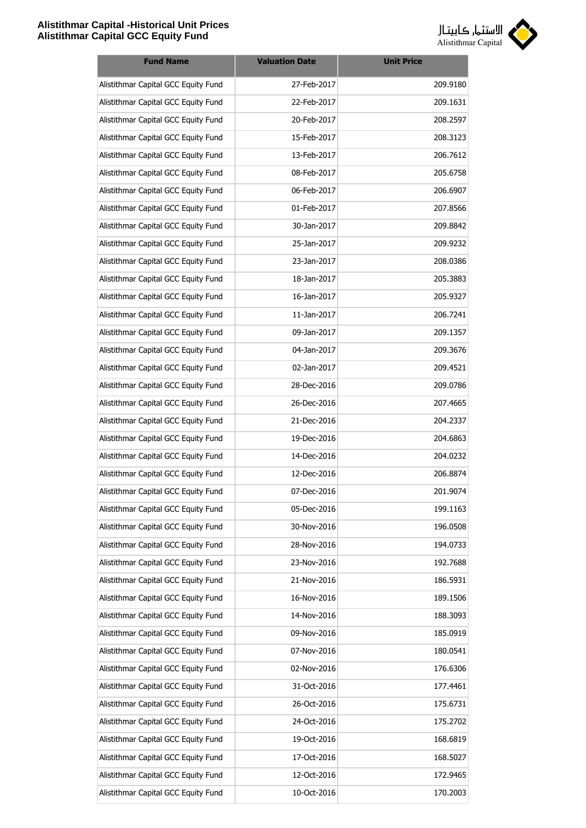

| <b>Fund Name</b>                    | <b>Valuation Date</b> | <b>Unit Price</b> |
|-------------------------------------|-----------------------|-------------------|
| Alistithmar Capital GCC Equity Fund | 27-Feb-2017           | 209.9180          |
| Alistithmar Capital GCC Equity Fund | 22-Feb-2017           | 209.1631          |
| Alistithmar Capital GCC Equity Fund | 20-Feb-2017           | 208.2597          |
| Alistithmar Capital GCC Equity Fund | 15-Feb-2017           | 208.3123          |
| Alistithmar Capital GCC Equity Fund | 13-Feb-2017           | 206.7612          |
| Alistithmar Capital GCC Equity Fund | 08-Feb-2017           | 205.6758          |
| Alistithmar Capital GCC Equity Fund | 06-Feb-2017           | 206.6907          |
| Alistithmar Capital GCC Equity Fund | 01-Feb-2017           | 207.8566          |
| Alistithmar Capital GCC Equity Fund | 30-Jan-2017           | 209.8842          |
| Alistithmar Capital GCC Equity Fund | 25-Jan-2017           | 209.9232          |
| Alistithmar Capital GCC Equity Fund | 23-Jan-2017           | 208.0386          |
| Alistithmar Capital GCC Equity Fund | 18-Jan-2017           | 205.3883          |
| Alistithmar Capital GCC Equity Fund | 16-Jan-2017           | 205.9327          |
| Alistithmar Capital GCC Equity Fund | 11-Jan-2017           | 206.7241          |
| Alistithmar Capital GCC Equity Fund | 09-Jan-2017           | 209.1357          |
| Alistithmar Capital GCC Equity Fund | 04-Jan-2017           | 209.3676          |
| Alistithmar Capital GCC Equity Fund | 02-Jan-2017           | 209.4521          |
| Alistithmar Capital GCC Equity Fund | 28-Dec-2016           | 209.0786          |
| Alistithmar Capital GCC Equity Fund | 26-Dec-2016           | 207.4665          |
| Alistithmar Capital GCC Equity Fund | 21-Dec-2016           | 204.2337          |
| Alistithmar Capital GCC Equity Fund | 19-Dec-2016           | 204.6863          |
| Alistithmar Capital GCC Equity Fund | 14-Dec-2016           | 204.0232          |
| Alistithmar Capital GCC Equity Fund | 12-Dec-2016           | 206.8874          |
| Alistithmar Capital GCC Equity Fund | 07-Dec-2016           | 201.9074          |
| Alistithmar Capital GCC Equity Fund | 05-Dec-2016           | 199.1163          |
| Alistithmar Capital GCC Equity Fund | 30-Nov-2016           | 196.0508          |
| Alistithmar Capital GCC Equity Fund | 28-Nov-2016           | 194.0733          |
| Alistithmar Capital GCC Equity Fund | 23-Nov-2016           | 192.7688          |
| Alistithmar Capital GCC Equity Fund | 21-Nov-2016           | 186.5931          |
| Alistithmar Capital GCC Equity Fund | 16-Nov-2016           | 189.1506          |
| Alistithmar Capital GCC Equity Fund | 14-Nov-2016           | 188.3093          |
| Alistithmar Capital GCC Equity Fund | 09-Nov-2016           | 185.0919          |
| Alistithmar Capital GCC Equity Fund | 07-Nov-2016           | 180.0541          |
| Alistithmar Capital GCC Equity Fund | 02-Nov-2016           | 176.6306          |
| Alistithmar Capital GCC Equity Fund | 31-Oct-2016           | 177.4461          |
| Alistithmar Capital GCC Equity Fund | 26-Oct-2016           | 175.6731          |
| Alistithmar Capital GCC Equity Fund | 24-Oct-2016           | 175.2702          |
| Alistithmar Capital GCC Equity Fund | 19-Oct-2016           | 168.6819          |
| Alistithmar Capital GCC Equity Fund | 17-Oct-2016           | 168.5027          |
| Alistithmar Capital GCC Equity Fund | 12-Oct-2016           | 172.9465          |
| Alistithmar Capital GCC Equity Fund | 10-Oct-2016           | 170.2003          |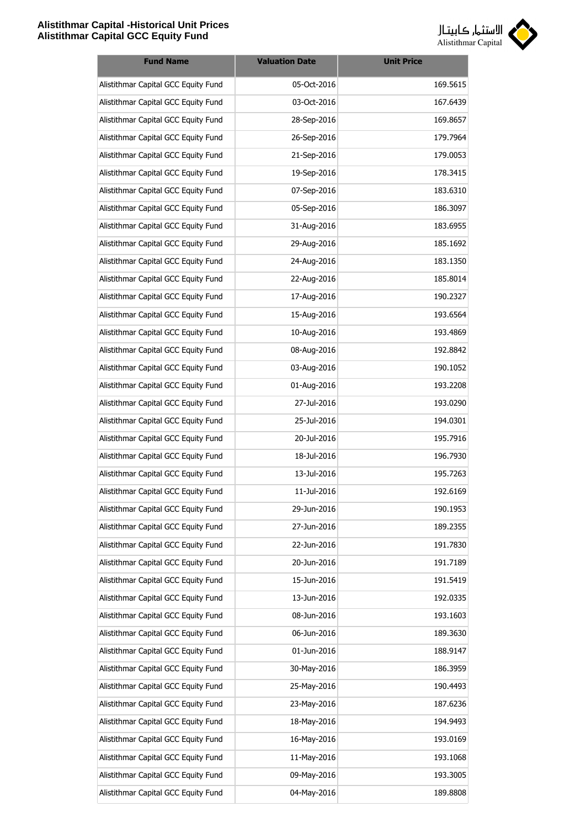

| <b>Fund Name</b>                    | <b>Valuation Date</b> | <b>Unit Price</b> |
|-------------------------------------|-----------------------|-------------------|
| Alistithmar Capital GCC Equity Fund | 05-Oct-2016           | 169.5615          |
| Alistithmar Capital GCC Equity Fund | 03-Oct-2016           | 167.6439          |
| Alistithmar Capital GCC Equity Fund | 28-Sep-2016           | 169.8657          |
| Alistithmar Capital GCC Equity Fund | 26-Sep-2016           | 179.7964          |
| Alistithmar Capital GCC Equity Fund | 21-Sep-2016           | 179.0053          |
| Alistithmar Capital GCC Equity Fund | 19-Sep-2016           | 178.3415          |
| Alistithmar Capital GCC Equity Fund | 07-Sep-2016           | 183.6310          |
| Alistithmar Capital GCC Equity Fund | 05-Sep-2016           | 186.3097          |
| Alistithmar Capital GCC Equity Fund | 31-Aug-2016           | 183.6955          |
| Alistithmar Capital GCC Equity Fund | 29-Aug-2016           | 185.1692          |
| Alistithmar Capital GCC Equity Fund | 24-Aug-2016           | 183.1350          |
| Alistithmar Capital GCC Equity Fund | 22-Aug-2016           | 185.8014          |
| Alistithmar Capital GCC Equity Fund | 17-Aug-2016           | 190.2327          |
| Alistithmar Capital GCC Equity Fund | 15-Aug-2016           | 193.6564          |
| Alistithmar Capital GCC Equity Fund | 10-Aug-2016           | 193.4869          |
| Alistithmar Capital GCC Equity Fund | 08-Aug-2016           | 192.8842          |
| Alistithmar Capital GCC Equity Fund | 03-Aug-2016           | 190.1052          |
| Alistithmar Capital GCC Equity Fund | 01-Aug-2016           | 193.2208          |
| Alistithmar Capital GCC Equity Fund | 27-Jul-2016           | 193.0290          |
| Alistithmar Capital GCC Equity Fund | 25-Jul-2016           | 194.0301          |
| Alistithmar Capital GCC Equity Fund | 20-Jul-2016           | 195.7916          |
| Alistithmar Capital GCC Equity Fund | 18-Jul-2016           | 196.7930          |
| Alistithmar Capital GCC Equity Fund | 13-Jul-2016           | 195.7263          |
| Alistithmar Capital GCC Equity Fund | 11-Jul-2016           | 192.6169          |
| Alistithmar Capital GCC Equity Fund | 29-Jun-2016           | 190.1953          |
| Alistithmar Capital GCC Equity Fund | 27-Jun-2016           | 189.2355          |
| Alistithmar Capital GCC Equity Fund | 22-Jun-2016           | 191.7830          |
| Alistithmar Capital GCC Equity Fund | 20-Jun-2016           | 191.7189          |
| Alistithmar Capital GCC Equity Fund | 15-Jun-2016           | 191.5419          |
| Alistithmar Capital GCC Equity Fund | 13-Jun-2016           | 192.0335          |
| Alistithmar Capital GCC Equity Fund | 08-Jun-2016           | 193.1603          |
| Alistithmar Capital GCC Equity Fund | 06-Jun-2016           | 189.3630          |
| Alistithmar Capital GCC Equity Fund | 01-Jun-2016           | 188.9147          |
| Alistithmar Capital GCC Equity Fund | 30-May-2016           | 186.3959          |
| Alistithmar Capital GCC Equity Fund | 25-May-2016           | 190.4493          |
| Alistithmar Capital GCC Equity Fund | 23-May-2016           | 187.6236          |
| Alistithmar Capital GCC Equity Fund | 18-May-2016           | 194.9493          |
| Alistithmar Capital GCC Equity Fund | 16-May-2016           | 193.0169          |
| Alistithmar Capital GCC Equity Fund | 11-May-2016           | 193.1068          |
| Alistithmar Capital GCC Equity Fund | 09-May-2016           | 193.3005          |
| Alistithmar Capital GCC Equity Fund | 04-May-2016           | 189.8808          |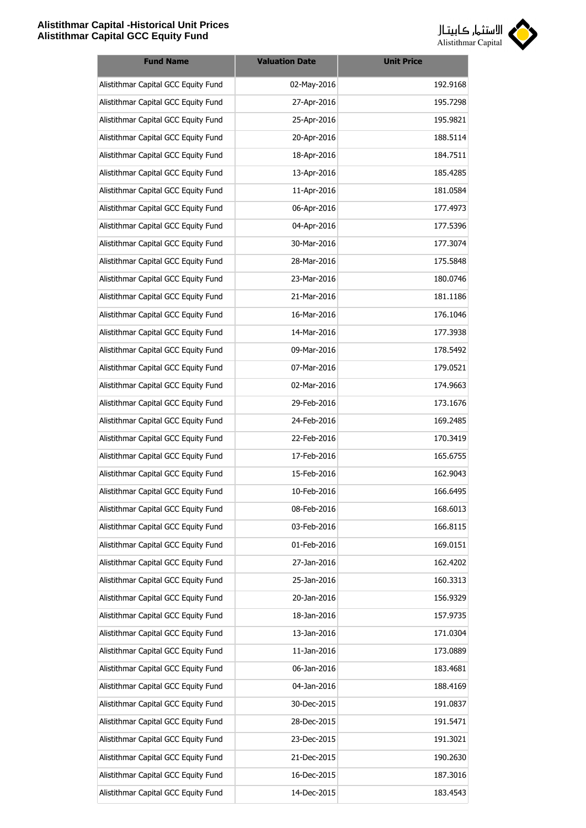

| <b>Fund Name</b>                    | <b>Valuation Date</b> | <b>Unit Price</b> |
|-------------------------------------|-----------------------|-------------------|
| Alistithmar Capital GCC Equity Fund | 02-May-2016           | 192.9168          |
| Alistithmar Capital GCC Equity Fund | 27-Apr-2016           | 195.7298          |
| Alistithmar Capital GCC Equity Fund | 25-Apr-2016           | 195.9821          |
| Alistithmar Capital GCC Equity Fund | 20-Apr-2016           | 188.5114          |
| Alistithmar Capital GCC Equity Fund | 18-Apr-2016           | 184.7511          |
| Alistithmar Capital GCC Equity Fund | 13-Apr-2016           | 185.4285          |
| Alistithmar Capital GCC Equity Fund | 11-Apr-2016           | 181.0584          |
| Alistithmar Capital GCC Equity Fund | 06-Apr-2016           | 177.4973          |
| Alistithmar Capital GCC Equity Fund | 04-Apr-2016           | 177.5396          |
| Alistithmar Capital GCC Equity Fund | 30-Mar-2016           | 177.3074          |
| Alistithmar Capital GCC Equity Fund | 28-Mar-2016           | 175.5848          |
| Alistithmar Capital GCC Equity Fund | 23-Mar-2016           | 180.0746          |
| Alistithmar Capital GCC Equity Fund | 21-Mar-2016           | 181.1186          |
| Alistithmar Capital GCC Equity Fund | 16-Mar-2016           | 176.1046          |
| Alistithmar Capital GCC Equity Fund | 14-Mar-2016           | 177.3938          |
| Alistithmar Capital GCC Equity Fund | 09-Mar-2016           | 178.5492          |
| Alistithmar Capital GCC Equity Fund | 07-Mar-2016           | 179.0521          |
| Alistithmar Capital GCC Equity Fund | 02-Mar-2016           | 174.9663          |
| Alistithmar Capital GCC Equity Fund | 29-Feb-2016           | 173.1676          |
| Alistithmar Capital GCC Equity Fund | 24-Feb-2016           | 169.2485          |
| Alistithmar Capital GCC Equity Fund | 22-Feb-2016           | 170.3419          |
| Alistithmar Capital GCC Equity Fund | 17-Feb-2016           | 165.6755          |
| Alistithmar Capital GCC Equity Fund | 15-Feb-2016           | 162.9043          |
| Alistithmar Capital GCC Equity Fund | 10-Feb-2016           | 166.6495          |
| Alistithmar Capital GCC Equity Fund | 08-Feb-2016           | 168.6013          |
| Alistithmar Capital GCC Equity Fund | 03-Feb-2016           | 166.8115          |
| Alistithmar Capital GCC Equity Fund | 01-Feb-2016           | 169.0151          |
| Alistithmar Capital GCC Equity Fund | 27-Jan-2016           | 162.4202          |
| Alistithmar Capital GCC Equity Fund | 25-Jan-2016           | 160.3313          |
| Alistithmar Capital GCC Equity Fund | 20-Jan-2016           | 156.9329          |
| Alistithmar Capital GCC Equity Fund | 18-Jan-2016           | 157.9735          |
| Alistithmar Capital GCC Equity Fund | 13-Jan-2016           | 171.0304          |
| Alistithmar Capital GCC Equity Fund | 11-Jan-2016           | 173.0889          |
| Alistithmar Capital GCC Equity Fund | 06-Jan-2016           | 183.4681          |
| Alistithmar Capital GCC Equity Fund | 04-Jan-2016           | 188.4169          |
| Alistithmar Capital GCC Equity Fund | 30-Dec-2015           | 191.0837          |
| Alistithmar Capital GCC Equity Fund | 28-Dec-2015           | 191.5471          |
| Alistithmar Capital GCC Equity Fund | 23-Dec-2015           | 191.3021          |
| Alistithmar Capital GCC Equity Fund | 21-Dec-2015           | 190.2630          |
| Alistithmar Capital GCC Equity Fund | 16-Dec-2015           | 187.3016          |
| Alistithmar Capital GCC Equity Fund | 14-Dec-2015           | 183.4543          |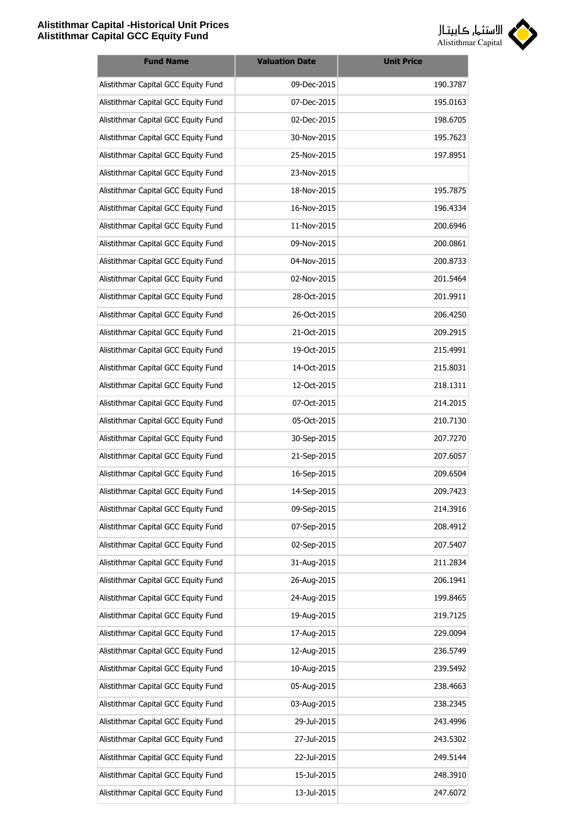

| <b>Fund Name</b>                    | <b>Valuation Date</b> | <b>Unit Price</b> |
|-------------------------------------|-----------------------|-------------------|
| Alistithmar Capital GCC Equity Fund | 09-Dec-2015           | 190.3787          |
| Alistithmar Capital GCC Equity Fund | 07-Dec-2015           | 195.0163          |
| Alistithmar Capital GCC Equity Fund | 02-Dec-2015           | 198.6705          |
| Alistithmar Capital GCC Equity Fund | 30-Nov-2015           | 195.7623          |
| Alistithmar Capital GCC Equity Fund | 25-Nov-2015           | 197.8951          |
| Alistithmar Capital GCC Equity Fund | 23-Nov-2015           |                   |
| Alistithmar Capital GCC Equity Fund | 18-Nov-2015           | 195.7875          |
| Alistithmar Capital GCC Equity Fund | 16-Nov-2015           | 196.4334          |
| Alistithmar Capital GCC Equity Fund | 11-Nov-2015           | 200.6946          |
| Alistithmar Capital GCC Equity Fund | 09-Nov-2015           | 200.0861          |
| Alistithmar Capital GCC Equity Fund | 04-Nov-2015           | 200.8733          |
| Alistithmar Capital GCC Equity Fund | 02-Nov-2015           | 201.5464          |
| Alistithmar Capital GCC Equity Fund | 28-Oct-2015           | 201.9911          |
| Alistithmar Capital GCC Equity Fund | 26-Oct-2015           | 206.4250          |
| Alistithmar Capital GCC Equity Fund | 21-Oct-2015           | 209.2915          |
| Alistithmar Capital GCC Equity Fund | 19-Oct-2015           | 215.4991          |
| Alistithmar Capital GCC Equity Fund | 14-Oct-2015           | 215.8031          |
| Alistithmar Capital GCC Equity Fund | 12-Oct-2015           | 218.1311          |
| Alistithmar Capital GCC Equity Fund | 07-Oct-2015           | 214.2015          |
| Alistithmar Capital GCC Equity Fund | 05-Oct-2015           | 210.7130          |
| Alistithmar Capital GCC Equity Fund | 30-Sep-2015           | 207.7270          |
| Alistithmar Capital GCC Equity Fund | 21-Sep-2015           | 207.6057          |
| Alistithmar Capital GCC Equity Fund | 16-Sep-2015           | 209.6504          |
| Alistithmar Capital GCC Equity Fund | 14-Sep-2015           | 209.7423          |
| Alistithmar Capital GCC Equity Fund | 09-Sep-2015           | 214.3916          |
| Alistithmar Capital GCC Equity Fund | 07-Sep-2015           | 208.4912          |
| Alistithmar Capital GCC Equity Fund | 02-Sep-2015           | 207.5407          |
| Alistithmar Capital GCC Equity Fund | 31-Aug-2015           | 211.2834          |
| Alistithmar Capital GCC Equity Fund | 26-Aug-2015           | 206.1941          |
| Alistithmar Capital GCC Equity Fund | 24-Aug-2015           | 199.8465          |
| Alistithmar Capital GCC Equity Fund | 19-Aug-2015           | 219.7125          |
| Alistithmar Capital GCC Equity Fund | 17-Aug-2015           | 229.0094          |
| Alistithmar Capital GCC Equity Fund | 12-Aug-2015           | 236.5749          |
| Alistithmar Capital GCC Equity Fund | 10-Aug-2015           | 239.5492          |
| Alistithmar Capital GCC Equity Fund | 05-Aug-2015           | 238.4663          |
| Alistithmar Capital GCC Equity Fund | 03-Aug-2015           | 238.2345          |
| Alistithmar Capital GCC Equity Fund | 29-Jul-2015           | 243.4996          |
| Alistithmar Capital GCC Equity Fund | 27-Jul-2015           | 243.5302          |
| Alistithmar Capital GCC Equity Fund | 22-Jul-2015           | 249.5144          |
| Alistithmar Capital GCC Equity Fund | 15-Jul-2015           | 248.3910          |
| Alistithmar Capital GCC Equity Fund | 13-Jul-2015           | 247.6072          |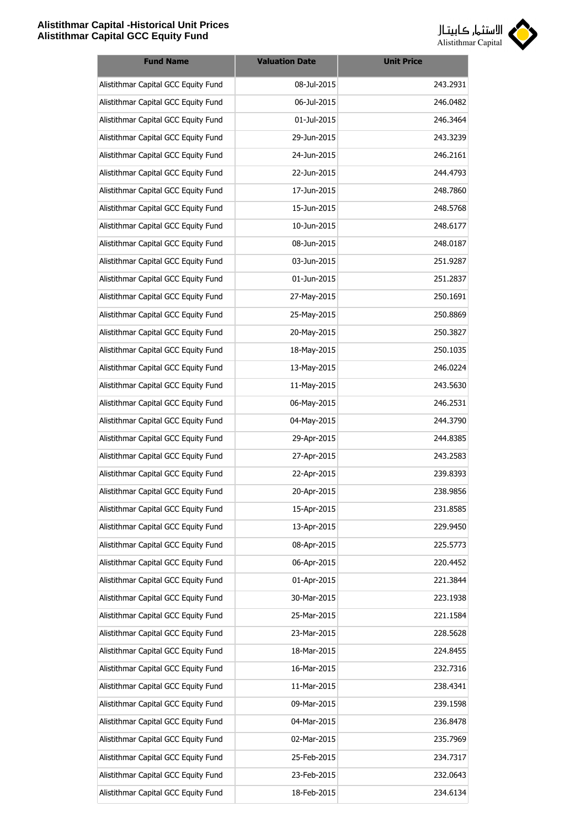

| <b>Fund Name</b>                    | <b>Valuation Date</b> | <b>Unit Price</b> |
|-------------------------------------|-----------------------|-------------------|
| Alistithmar Capital GCC Equity Fund | 08-Jul-2015           | 243.2931          |
| Alistithmar Capital GCC Equity Fund | 06-Jul-2015           | 246.0482          |
| Alistithmar Capital GCC Equity Fund | 01-Jul-2015           | 246.3464          |
| Alistithmar Capital GCC Equity Fund | 29-Jun-2015           | 243.3239          |
| Alistithmar Capital GCC Equity Fund | 24-Jun-2015           | 246.2161          |
| Alistithmar Capital GCC Equity Fund | 22-Jun-2015           | 244.4793          |
| Alistithmar Capital GCC Equity Fund | 17-Jun-2015           | 248.7860          |
| Alistithmar Capital GCC Equity Fund | 15-Jun-2015           | 248.5768          |
| Alistithmar Capital GCC Equity Fund | 10-Jun-2015           | 248.6177          |
| Alistithmar Capital GCC Equity Fund | 08-Jun-2015           | 248.0187          |
| Alistithmar Capital GCC Equity Fund | 03-Jun-2015           | 251.9287          |
| Alistithmar Capital GCC Equity Fund | 01-Jun-2015           | 251.2837          |
| Alistithmar Capital GCC Equity Fund | 27-May-2015           | 250.1691          |
| Alistithmar Capital GCC Equity Fund | 25-May-2015           | 250.8869          |
| Alistithmar Capital GCC Equity Fund | 20-May-2015           | 250.3827          |
| Alistithmar Capital GCC Equity Fund | 18-May-2015           | 250.1035          |
| Alistithmar Capital GCC Equity Fund | 13-May-2015           | 246.0224          |
| Alistithmar Capital GCC Equity Fund | 11-May-2015           | 243.5630          |
| Alistithmar Capital GCC Equity Fund | 06-May-2015           | 246.2531          |
| Alistithmar Capital GCC Equity Fund | 04-May-2015           | 244.3790          |
| Alistithmar Capital GCC Equity Fund | 29-Apr-2015           | 244.8385          |
| Alistithmar Capital GCC Equity Fund | 27-Apr-2015           | 243.2583          |
| Alistithmar Capital GCC Equity Fund | 22-Apr-2015           | 239.8393          |
| Alistithmar Capital GCC Equity Fund | 20-Apr-2015           | 238.9856          |
| Alistithmar Capital GCC Equity Fund | 15-Apr-2015           | 231.8585          |
| Alistithmar Capital GCC Equity Fund | 13-Apr-2015           | 229.9450          |
| Alistithmar Capital GCC Equity Fund | 08-Apr-2015           | 225.5773          |
| Alistithmar Capital GCC Equity Fund | 06-Apr-2015           | 220.4452          |
| Alistithmar Capital GCC Equity Fund | 01-Apr-2015           | 221.3844          |
| Alistithmar Capital GCC Equity Fund | 30-Mar-2015           | 223.1938          |
| Alistithmar Capital GCC Equity Fund | 25-Mar-2015           | 221.1584          |
| Alistithmar Capital GCC Equity Fund | 23-Mar-2015           | 228.5628          |
| Alistithmar Capital GCC Equity Fund | 18-Mar-2015           | 224.8455          |
| Alistithmar Capital GCC Equity Fund | 16-Mar-2015           | 232.7316          |
| Alistithmar Capital GCC Equity Fund | 11-Mar-2015           | 238.4341          |
| Alistithmar Capital GCC Equity Fund | 09-Mar-2015           | 239.1598          |
| Alistithmar Capital GCC Equity Fund | 04-Mar-2015           | 236.8478          |
| Alistithmar Capital GCC Equity Fund | 02-Mar-2015           | 235.7969          |
| Alistithmar Capital GCC Equity Fund | 25-Feb-2015           | 234.7317          |
| Alistithmar Capital GCC Equity Fund | 23-Feb-2015           | 232.0643          |
| Alistithmar Capital GCC Equity Fund | 18-Feb-2015           | 234.6134          |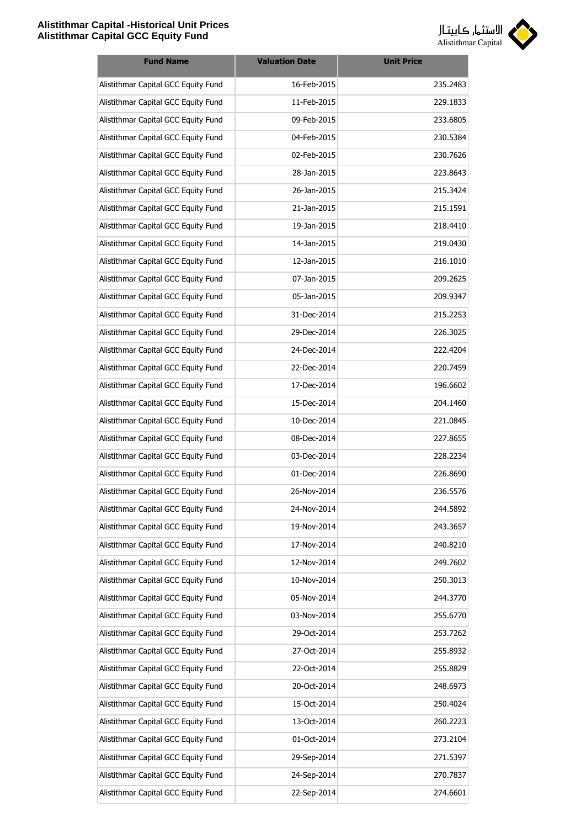

| <b>Fund Name</b>                    | <b>Valuation Date</b> | <b>Unit Price</b> |
|-------------------------------------|-----------------------|-------------------|
| Alistithmar Capital GCC Equity Fund | 16-Feb-2015           | 235.2483          |
| Alistithmar Capital GCC Equity Fund | 11-Feb-2015           | 229.1833          |
| Alistithmar Capital GCC Equity Fund | 09-Feb-2015           | 233.6805          |
| Alistithmar Capital GCC Equity Fund | 04-Feb-2015           | 230.5384          |
| Alistithmar Capital GCC Equity Fund | 02-Feb-2015           | 230.7626          |
| Alistithmar Capital GCC Equity Fund | 28-Jan-2015           | 223.8643          |
| Alistithmar Capital GCC Equity Fund | 26-Jan-2015           | 215.3424          |
| Alistithmar Capital GCC Equity Fund | 21-Jan-2015           | 215.1591          |
| Alistithmar Capital GCC Equity Fund | 19-Jan-2015           | 218.4410          |
| Alistithmar Capital GCC Equity Fund | 14-Jan-2015           | 219.0430          |
| Alistithmar Capital GCC Equity Fund | 12-Jan-2015           | 216.1010          |
| Alistithmar Capital GCC Equity Fund | 07-Jan-2015           | 209.2625          |
| Alistithmar Capital GCC Equity Fund | 05-Jan-2015           | 209.9347          |
| Alistithmar Capital GCC Equity Fund | 31-Dec-2014           | 215.2253          |
| Alistithmar Capital GCC Equity Fund | 29-Dec-2014           | 226.3025          |
| Alistithmar Capital GCC Equity Fund | 24-Dec-2014           | 222.4204          |
| Alistithmar Capital GCC Equity Fund | 22-Dec-2014           | 220.7459          |
| Alistithmar Capital GCC Equity Fund | 17-Dec-2014           | 196.6602          |
| Alistithmar Capital GCC Equity Fund | 15-Dec-2014           | 204.1460          |
| Alistithmar Capital GCC Equity Fund | 10-Dec-2014           | 221.0845          |
| Alistithmar Capital GCC Equity Fund | 08-Dec-2014           | 227.8655          |
| Alistithmar Capital GCC Equity Fund | 03-Dec-2014           | 228.2234          |
| Alistithmar Capital GCC Equity Fund | 01-Dec-2014           | 226.8690          |
| Alistithmar Capital GCC Equity Fund | 26-Nov-2014           | 236.5576          |
| Alistithmar Capital GCC Equity Fund | 24-Nov-2014           | 244.5892          |
| Alistithmar Capital GCC Equity Fund | 19-Nov-2014           | 243.3657          |
| Alistithmar Capital GCC Equity Fund | 17-Nov-2014           | 240.8210          |
| Alistithmar Capital GCC Equity Fund | 12-Nov-2014           | 249.7602          |
| Alistithmar Capital GCC Equity Fund | 10-Nov-2014           | 250.3013          |
| Alistithmar Capital GCC Equity Fund | 05-Nov-2014           | 244.3770          |
| Alistithmar Capital GCC Equity Fund | 03-Nov-2014           | 255.6770          |
| Alistithmar Capital GCC Equity Fund | 29-Oct-2014           | 253.7262          |
| Alistithmar Capital GCC Equity Fund | 27-Oct-2014           | 255.8932          |
| Alistithmar Capital GCC Equity Fund | 22-Oct-2014           | 255.8829          |
| Alistithmar Capital GCC Equity Fund | 20-Oct-2014           | 248.6973          |
| Alistithmar Capital GCC Equity Fund | 15-Oct-2014           | 250.4024          |
| Alistithmar Capital GCC Equity Fund | 13-Oct-2014           | 260.2223          |
| Alistithmar Capital GCC Equity Fund | 01-Oct-2014           | 273.2104          |
| Alistithmar Capital GCC Equity Fund | 29-Sep-2014           | 271.5397          |
| Alistithmar Capital GCC Equity Fund | 24-Sep-2014           | 270.7837          |
| Alistithmar Capital GCC Equity Fund | 22-Sep-2014           | 274.6601          |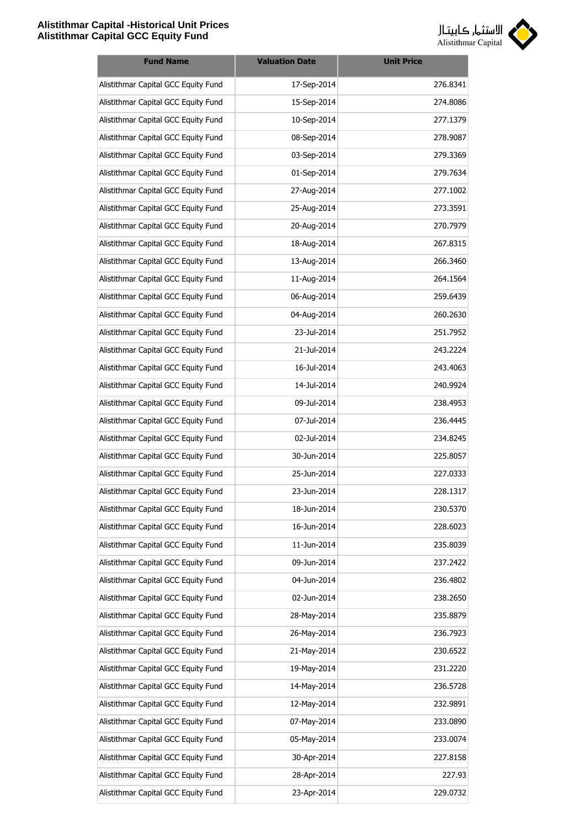

| <b>Fund Name</b>                    | <b>Valuation Date</b> | <b>Unit Price</b> |
|-------------------------------------|-----------------------|-------------------|
| Alistithmar Capital GCC Equity Fund | 17-Sep-2014           | 276.8341          |
| Alistithmar Capital GCC Equity Fund | 15-Sep-2014           | 274.8086          |
| Alistithmar Capital GCC Equity Fund | 10-Sep-2014           | 277.1379          |
| Alistithmar Capital GCC Equity Fund | 08-Sep-2014           | 278.9087          |
| Alistithmar Capital GCC Equity Fund | 03-Sep-2014           | 279.3369          |
| Alistithmar Capital GCC Equity Fund | 01-Sep-2014           | 279.7634          |
| Alistithmar Capital GCC Equity Fund | 27-Aug-2014           | 277.1002          |
| Alistithmar Capital GCC Equity Fund | 25-Aug-2014           | 273.3591          |
| Alistithmar Capital GCC Equity Fund | 20-Aug-2014           | 270.7979          |
| Alistithmar Capital GCC Equity Fund | 18-Aug-2014           | 267.8315          |
| Alistithmar Capital GCC Equity Fund | 13-Aug-2014           | 266.3460          |
| Alistithmar Capital GCC Equity Fund | 11-Aug-2014           | 264.1564          |
| Alistithmar Capital GCC Equity Fund | 06-Aug-2014           | 259.6439          |
| Alistithmar Capital GCC Equity Fund | 04-Aug-2014           | 260.2630          |
| Alistithmar Capital GCC Equity Fund | 23-Jul-2014           | 251.7952          |
| Alistithmar Capital GCC Equity Fund | 21-Jul-2014           | 243.2224          |
| Alistithmar Capital GCC Equity Fund | 16-Jul-2014           | 243.4063          |
| Alistithmar Capital GCC Equity Fund | 14-Jul-2014           | 240.9924          |
| Alistithmar Capital GCC Equity Fund | 09-Jul-2014           | 238.4953          |
| Alistithmar Capital GCC Equity Fund | 07-Jul-2014           | 236.4445          |
| Alistithmar Capital GCC Equity Fund | 02-Jul-2014           | 234.8245          |
| Alistithmar Capital GCC Equity Fund | 30-Jun-2014           | 225.8057          |
| Alistithmar Capital GCC Equity Fund | 25-Jun-2014           | 227.0333          |
| Alistithmar Capital GCC Equity Fund | 23-Jun-2014           | 228.1317          |
| Alistithmar Capital GCC Equity Fund | 18-Jun-2014           | 230.5370          |
| Alistithmar Capital GCC Equity Fund | 16-Jun-2014           | 228.6023          |
| Alistithmar Capital GCC Equity Fund | 11-Jun-2014           | 235.8039          |
| Alistithmar Capital GCC Equity Fund | 09-Jun-2014           | 237.2422          |
| Alistithmar Capital GCC Equity Fund | 04-Jun-2014           | 236.4802          |
| Alistithmar Capital GCC Equity Fund | 02-Jun-2014           | 238.2650          |
| Alistithmar Capital GCC Equity Fund | 28-May-2014           | 235.8879          |
| Alistithmar Capital GCC Equity Fund | 26-May-2014           | 236.7923          |
| Alistithmar Capital GCC Equity Fund | 21-May-2014           | 230.6522          |
| Alistithmar Capital GCC Equity Fund | 19-May-2014           | 231.2220          |
| Alistithmar Capital GCC Equity Fund | 14-May-2014           | 236.5728          |
| Alistithmar Capital GCC Equity Fund | 12-May-2014           | 232.9891          |
| Alistithmar Capital GCC Equity Fund | 07-May-2014           | 233.0890          |
| Alistithmar Capital GCC Equity Fund | 05-May-2014           | 233.0074          |
| Alistithmar Capital GCC Equity Fund | 30-Apr-2014           | 227.8158          |
| Alistithmar Capital GCC Equity Fund | 28-Apr-2014           | 227.93            |
| Alistithmar Capital GCC Equity Fund | 23-Apr-2014           | 229.0732          |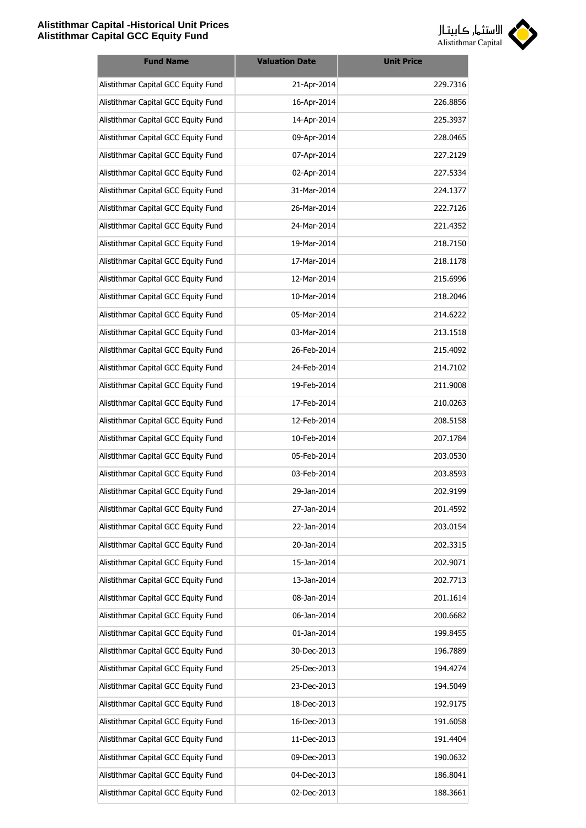

| <b>Fund Name</b>                    | <b>Valuation Date</b> | <b>Unit Price</b> |
|-------------------------------------|-----------------------|-------------------|
| Alistithmar Capital GCC Equity Fund | 21-Apr-2014           | 229.7316          |
| Alistithmar Capital GCC Equity Fund | 16-Apr-2014           | 226.8856          |
| Alistithmar Capital GCC Equity Fund | 14-Apr-2014           | 225.3937          |
| Alistithmar Capital GCC Equity Fund | 09-Apr-2014           | 228.0465          |
| Alistithmar Capital GCC Equity Fund | 07-Apr-2014           | 227.2129          |
| Alistithmar Capital GCC Equity Fund | 02-Apr-2014           | 227.5334          |
| Alistithmar Capital GCC Equity Fund | 31-Mar-2014           | 224.1377          |
| Alistithmar Capital GCC Equity Fund | 26-Mar-2014           | 222.7126          |
| Alistithmar Capital GCC Equity Fund | 24-Mar-2014           | 221.4352          |
| Alistithmar Capital GCC Equity Fund | 19-Mar-2014           | 218.7150          |
| Alistithmar Capital GCC Equity Fund | 17-Mar-2014           | 218.1178          |
| Alistithmar Capital GCC Equity Fund | 12-Mar-2014           | 215.6996          |
| Alistithmar Capital GCC Equity Fund | 10-Mar-2014           | 218.2046          |
| Alistithmar Capital GCC Equity Fund | 05-Mar-2014           | 214.6222          |
| Alistithmar Capital GCC Equity Fund | 03-Mar-2014           | 213.1518          |
| Alistithmar Capital GCC Equity Fund | 26-Feb-2014           | 215.4092          |
| Alistithmar Capital GCC Equity Fund | 24-Feb-2014           | 214.7102          |
| Alistithmar Capital GCC Equity Fund | 19-Feb-2014           | 211.9008          |
| Alistithmar Capital GCC Equity Fund | 17-Feb-2014           | 210.0263          |
| Alistithmar Capital GCC Equity Fund | 12-Feb-2014           | 208.5158          |
| Alistithmar Capital GCC Equity Fund | 10-Feb-2014           | 207.1784          |
| Alistithmar Capital GCC Equity Fund | 05-Feb-2014           | 203.0530          |
| Alistithmar Capital GCC Equity Fund | 03-Feb-2014           | 203.8593          |
| Alistithmar Capital GCC Equity Fund | 29-Jan-2014           | 202.9199          |
| Alistithmar Capital GCC Equity Fund | 27-Jan-2014           | 201.4592          |
| Alistithmar Capital GCC Equity Fund | 22-Jan-2014           | 203.0154          |
| Alistithmar Capital GCC Equity Fund | 20-Jan-2014           | 202.3315          |
| Alistithmar Capital GCC Equity Fund | 15-Jan-2014           | 202.9071          |
| Alistithmar Capital GCC Equity Fund | 13-Jan-2014           | 202.7713          |
| Alistithmar Capital GCC Equity Fund | 08-Jan-2014           | 201.1614          |
| Alistithmar Capital GCC Equity Fund | 06-Jan-2014           | 200.6682          |
| Alistithmar Capital GCC Equity Fund | 01-Jan-2014           | 199.8455          |
| Alistithmar Capital GCC Equity Fund | 30-Dec-2013           | 196.7889          |
| Alistithmar Capital GCC Equity Fund | 25-Dec-2013           | 194.4274          |
| Alistithmar Capital GCC Equity Fund | 23-Dec-2013           | 194.5049          |
| Alistithmar Capital GCC Equity Fund | 18-Dec-2013           | 192.9175          |
| Alistithmar Capital GCC Equity Fund | 16-Dec-2013           | 191.6058          |
| Alistithmar Capital GCC Equity Fund | 11-Dec-2013           | 191.4404          |
| Alistithmar Capital GCC Equity Fund | 09-Dec-2013           | 190.0632          |
| Alistithmar Capital GCC Equity Fund | 04-Dec-2013           | 186.8041          |
| Alistithmar Capital GCC Equity Fund | 02-Dec-2013           | 188.3661          |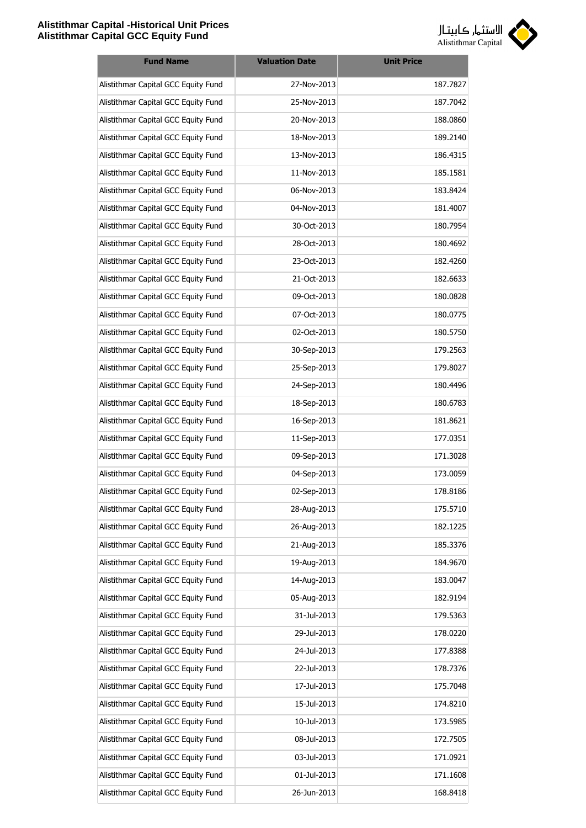

| <b>Fund Name</b>                    | <b>Valuation Date</b> | <b>Unit Price</b> |
|-------------------------------------|-----------------------|-------------------|
| Alistithmar Capital GCC Equity Fund | 27-Nov-2013           | 187.7827          |
| Alistithmar Capital GCC Equity Fund | 25-Nov-2013           | 187.7042          |
| Alistithmar Capital GCC Equity Fund | 20-Nov-2013           | 188.0860          |
| Alistithmar Capital GCC Equity Fund | 18-Nov-2013           | 189.2140          |
| Alistithmar Capital GCC Equity Fund | 13-Nov-2013           | 186.4315          |
| Alistithmar Capital GCC Equity Fund | 11-Nov-2013           | 185.1581          |
| Alistithmar Capital GCC Equity Fund | 06-Nov-2013           | 183.8424          |
| Alistithmar Capital GCC Equity Fund | 04-Nov-2013           | 181.4007          |
| Alistithmar Capital GCC Equity Fund | 30-Oct-2013           | 180.7954          |
| Alistithmar Capital GCC Equity Fund | 28-Oct-2013           | 180.4692          |
| Alistithmar Capital GCC Equity Fund | 23-Oct-2013           | 182.4260          |
| Alistithmar Capital GCC Equity Fund | 21-Oct-2013           | 182.6633          |
| Alistithmar Capital GCC Equity Fund | 09-Oct-2013           | 180.0828          |
| Alistithmar Capital GCC Equity Fund | 07-Oct-2013           | 180.0775          |
| Alistithmar Capital GCC Equity Fund | 02-Oct-2013           | 180.5750          |
| Alistithmar Capital GCC Equity Fund | 30-Sep-2013           | 179.2563          |
| Alistithmar Capital GCC Equity Fund | 25-Sep-2013           | 179.8027          |
| Alistithmar Capital GCC Equity Fund | 24-Sep-2013           | 180.4496          |
| Alistithmar Capital GCC Equity Fund | 18-Sep-2013           | 180.6783          |
| Alistithmar Capital GCC Equity Fund | 16-Sep-2013           | 181.8621          |
| Alistithmar Capital GCC Equity Fund | 11-Sep-2013           | 177.0351          |
| Alistithmar Capital GCC Equity Fund | 09-Sep-2013           | 171.3028          |
| Alistithmar Capital GCC Equity Fund | 04-Sep-2013           | 173.0059          |
| Alistithmar Capital GCC Equity Fund | 02-Sep-2013           | 178.8186          |
| Alistithmar Capital GCC Equity Fund | 28-Aug-2013           | 175.5710          |
| Alistithmar Capital GCC Equity Fund | 26-Aug-2013           | 182.1225          |
| Alistithmar Capital GCC Equity Fund | 21-Aug-2013           | 185.3376          |
| Alistithmar Capital GCC Equity Fund | 19-Aug-2013           | 184.9670          |
| Alistithmar Capital GCC Equity Fund | 14-Aug-2013           | 183.0047          |
| Alistithmar Capital GCC Equity Fund | 05-Aug-2013           | 182.9194          |
| Alistithmar Capital GCC Equity Fund | 31-Jul-2013           | 179.5363          |
| Alistithmar Capital GCC Equity Fund | 29-Jul-2013           | 178.0220          |
| Alistithmar Capital GCC Equity Fund | 24-Jul-2013           | 177.8388          |
| Alistithmar Capital GCC Equity Fund | 22-Jul-2013           | 178.7376          |
| Alistithmar Capital GCC Equity Fund | 17-Jul-2013           | 175.7048          |
| Alistithmar Capital GCC Equity Fund | 15-Jul-2013           | 174.8210          |
| Alistithmar Capital GCC Equity Fund | 10-Jul-2013           | 173.5985          |
| Alistithmar Capital GCC Equity Fund | 08-Jul-2013           | 172.7505          |
| Alistithmar Capital GCC Equity Fund | 03-Jul-2013           | 171.0921          |
| Alistithmar Capital GCC Equity Fund | 01-Jul-2013           | 171.1608          |
| Alistithmar Capital GCC Equity Fund | 26-Jun-2013           | 168.8418          |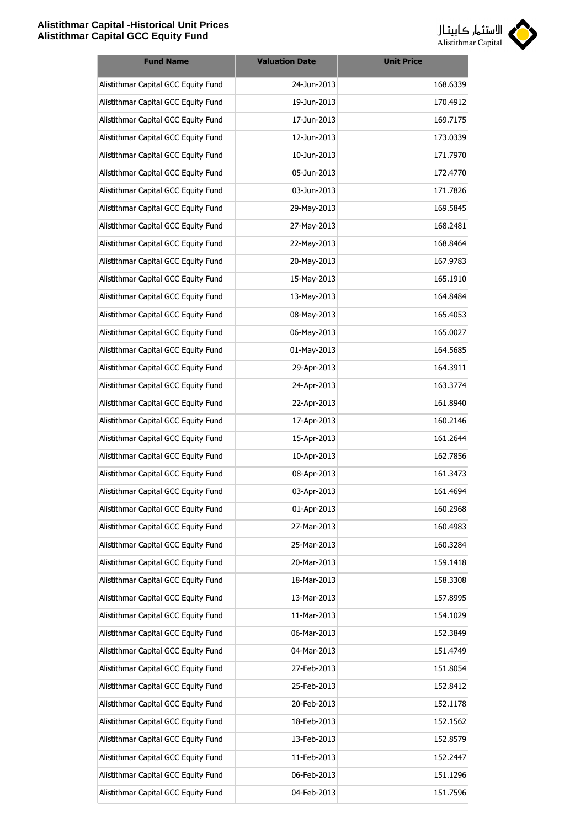

| <b>Fund Name</b>                    | <b>Valuation Date</b> | <b>Unit Price</b> |
|-------------------------------------|-----------------------|-------------------|
| Alistithmar Capital GCC Equity Fund | 24-Jun-2013           | 168.6339          |
| Alistithmar Capital GCC Equity Fund | 19-Jun-2013           | 170.4912          |
| Alistithmar Capital GCC Equity Fund | 17-Jun-2013           | 169.7175          |
| Alistithmar Capital GCC Equity Fund | 12-Jun-2013           | 173.0339          |
| Alistithmar Capital GCC Equity Fund | 10-Jun-2013           | 171.7970          |
| Alistithmar Capital GCC Equity Fund | 05-Jun-2013           | 172.4770          |
| Alistithmar Capital GCC Equity Fund | 03-Jun-2013           | 171.7826          |
| Alistithmar Capital GCC Equity Fund | 29-May-2013           | 169.5845          |
| Alistithmar Capital GCC Equity Fund | 27-May-2013           | 168.2481          |
| Alistithmar Capital GCC Equity Fund | 22-May-2013           | 168.8464          |
| Alistithmar Capital GCC Equity Fund | 20-May-2013           | 167.9783          |
| Alistithmar Capital GCC Equity Fund | 15-May-2013           | 165.1910          |
| Alistithmar Capital GCC Equity Fund | 13-May-2013           | 164.8484          |
| Alistithmar Capital GCC Equity Fund | 08-May-2013           | 165.4053          |
| Alistithmar Capital GCC Equity Fund | 06-May-2013           | 165.0027          |
| Alistithmar Capital GCC Equity Fund | 01-May-2013           | 164.5685          |
| Alistithmar Capital GCC Equity Fund | 29-Apr-2013           | 164.3911          |
| Alistithmar Capital GCC Equity Fund | 24-Apr-2013           | 163.3774          |
| Alistithmar Capital GCC Equity Fund | 22-Apr-2013           | 161.8940          |
| Alistithmar Capital GCC Equity Fund | 17-Apr-2013           | 160.2146          |
| Alistithmar Capital GCC Equity Fund | 15-Apr-2013           | 161.2644          |
| Alistithmar Capital GCC Equity Fund | 10-Apr-2013           | 162.7856          |
| Alistithmar Capital GCC Equity Fund | 08-Apr-2013           | 161.3473          |
| Alistithmar Capital GCC Equity Fund | 03-Apr-2013           | 161.4694          |
| Alistithmar Capital GCC Equity Fund | 01-Apr-2013           | 160.2968          |
| Alistithmar Capital GCC Equity Fund | 27-Mar-2013           | 160.4983          |
| Alistithmar Capital GCC Equity Fund | 25-Mar-2013           | 160.3284          |
| Alistithmar Capital GCC Equity Fund | 20-Mar-2013           | 159.1418          |
| Alistithmar Capital GCC Equity Fund | 18-Mar-2013           | 158.3308          |
| Alistithmar Capital GCC Equity Fund | 13-Mar-2013           | 157.8995          |
| Alistithmar Capital GCC Equity Fund | 11-Mar-2013           | 154.1029          |
| Alistithmar Capital GCC Equity Fund | 06-Mar-2013           | 152.3849          |
| Alistithmar Capital GCC Equity Fund | 04-Mar-2013           | 151.4749          |
| Alistithmar Capital GCC Equity Fund | 27-Feb-2013           | 151.8054          |
| Alistithmar Capital GCC Equity Fund | 25-Feb-2013           | 152.8412          |
| Alistithmar Capital GCC Equity Fund | 20-Feb-2013           | 152.1178          |
| Alistithmar Capital GCC Equity Fund | 18-Feb-2013           | 152.1562          |
| Alistithmar Capital GCC Equity Fund | 13-Feb-2013           | 152.8579          |
| Alistithmar Capital GCC Equity Fund | 11-Feb-2013           | 152.2447          |
| Alistithmar Capital GCC Equity Fund | 06-Feb-2013           | 151.1296          |
| Alistithmar Capital GCC Equity Fund | 04-Feb-2013           | 151.7596          |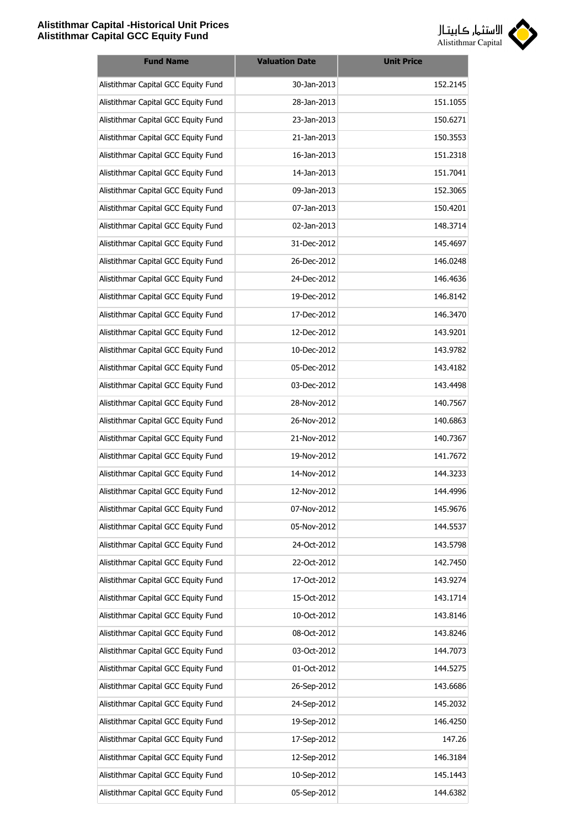

| <b>Fund Name</b>                    | <b>Valuation Date</b> | <b>Unit Price</b> |
|-------------------------------------|-----------------------|-------------------|
| Alistithmar Capital GCC Equity Fund | 30-Jan-2013           | 152.2145          |
| Alistithmar Capital GCC Equity Fund | 28-Jan-2013           | 151.1055          |
| Alistithmar Capital GCC Equity Fund | 23-Jan-2013           | 150.6271          |
| Alistithmar Capital GCC Equity Fund | 21-Jan-2013           | 150.3553          |
| Alistithmar Capital GCC Equity Fund | 16-Jan-2013           | 151.2318          |
| Alistithmar Capital GCC Equity Fund | 14-Jan-2013           | 151.7041          |
| Alistithmar Capital GCC Equity Fund | 09-Jan-2013           | 152.3065          |
| Alistithmar Capital GCC Equity Fund | 07-Jan-2013           | 150.4201          |
| Alistithmar Capital GCC Equity Fund | 02-Jan-2013           | 148.3714          |
| Alistithmar Capital GCC Equity Fund | 31-Dec-2012           | 145.4697          |
| Alistithmar Capital GCC Equity Fund | 26-Dec-2012           | 146.0248          |
| Alistithmar Capital GCC Equity Fund | 24-Dec-2012           | 146.4636          |
| Alistithmar Capital GCC Equity Fund | 19-Dec-2012           | 146.8142          |
| Alistithmar Capital GCC Equity Fund | 17-Dec-2012           | 146.3470          |
| Alistithmar Capital GCC Equity Fund | 12-Dec-2012           | 143.9201          |
| Alistithmar Capital GCC Equity Fund | 10-Dec-2012           | 143.9782          |
| Alistithmar Capital GCC Equity Fund | 05-Dec-2012           | 143.4182          |
| Alistithmar Capital GCC Equity Fund | 03-Dec-2012           | 143.4498          |
| Alistithmar Capital GCC Equity Fund | 28-Nov-2012           | 140.7567          |
| Alistithmar Capital GCC Equity Fund | 26-Nov-2012           | 140.6863          |
| Alistithmar Capital GCC Equity Fund | 21-Nov-2012           | 140.7367          |
| Alistithmar Capital GCC Equity Fund | 19-Nov-2012           | 141.7672          |
| Alistithmar Capital GCC Equity Fund | 14-Nov-2012           | 144.3233          |
| Alistithmar Capital GCC Equity Fund | 12-Nov-2012           | 144.4996          |
| Alistithmar Capital GCC Equity Fund | 07-Nov-2012           | 145.9676          |
| Alistithmar Capital GCC Equity Fund | 05-Nov-2012           | 144.5537          |
| Alistithmar Capital GCC Equity Fund | 24-Oct-2012           | 143.5798          |
| Alistithmar Capital GCC Equity Fund | 22-Oct-2012           | 142.7450          |
| Alistithmar Capital GCC Equity Fund | 17-Oct-2012           | 143.9274          |
| Alistithmar Capital GCC Equity Fund | 15-Oct-2012           | 143.1714          |
| Alistithmar Capital GCC Equity Fund | 10-Oct-2012           | 143.8146          |
| Alistithmar Capital GCC Equity Fund | 08-Oct-2012           | 143.8246          |
| Alistithmar Capital GCC Equity Fund | 03-Oct-2012           | 144.7073          |
| Alistithmar Capital GCC Equity Fund | 01-Oct-2012           | 144.5275          |
| Alistithmar Capital GCC Equity Fund | 26-Sep-2012           | 143.6686          |
| Alistithmar Capital GCC Equity Fund | 24-Sep-2012           | 145.2032          |
| Alistithmar Capital GCC Equity Fund | 19-Sep-2012           | 146.4250          |
| Alistithmar Capital GCC Equity Fund | 17-Sep-2012           | 147.26            |
| Alistithmar Capital GCC Equity Fund | 12-Sep-2012           | 146.3184          |
| Alistithmar Capital GCC Equity Fund | 10-Sep-2012           | 145.1443          |
| Alistithmar Capital GCC Equity Fund | 05-Sep-2012           | 144.6382          |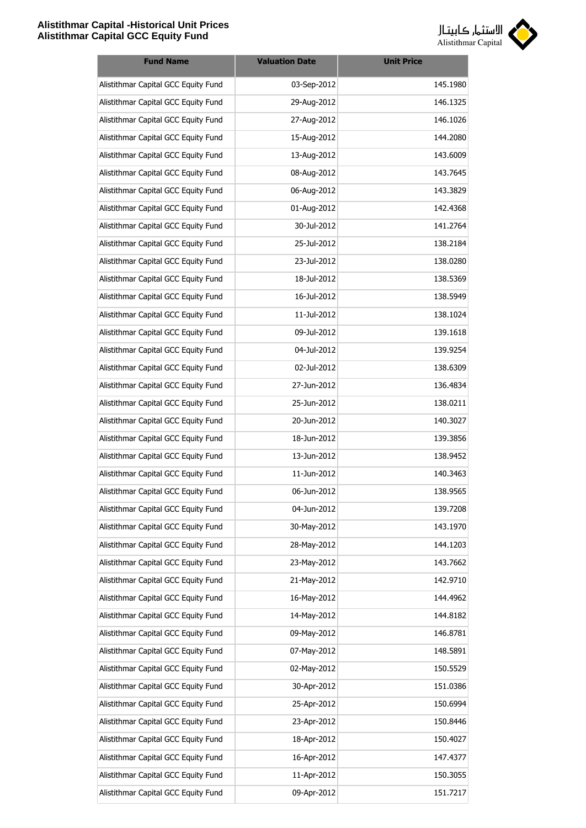

| <b>Fund Name</b>                    | <b>Valuation Date</b> | <b>Unit Price</b> |
|-------------------------------------|-----------------------|-------------------|
| Alistithmar Capital GCC Equity Fund | 03-Sep-2012           | 145.1980          |
| Alistithmar Capital GCC Equity Fund | 29-Aug-2012           | 146.1325          |
| Alistithmar Capital GCC Equity Fund | 27-Aug-2012           | 146.1026          |
| Alistithmar Capital GCC Equity Fund | 15-Aug-2012           | 144.2080          |
| Alistithmar Capital GCC Equity Fund | 13-Aug-2012           | 143.6009          |
| Alistithmar Capital GCC Equity Fund | 08-Aug-2012           | 143.7645          |
| Alistithmar Capital GCC Equity Fund | 06-Aug-2012           | 143.3829          |
| Alistithmar Capital GCC Equity Fund | 01-Aug-2012           | 142.4368          |
| Alistithmar Capital GCC Equity Fund | 30-Jul-2012           | 141.2764          |
| Alistithmar Capital GCC Equity Fund | 25-Jul-2012           | 138.2184          |
| Alistithmar Capital GCC Equity Fund | 23-Jul-2012           | 138.0280          |
| Alistithmar Capital GCC Equity Fund | 18-Jul-2012           | 138.5369          |
| Alistithmar Capital GCC Equity Fund | 16-Jul-2012           | 138.5949          |
| Alistithmar Capital GCC Equity Fund | 11-Jul-2012           | 138.1024          |
| Alistithmar Capital GCC Equity Fund | 09-Jul-2012           | 139.1618          |
| Alistithmar Capital GCC Equity Fund | 04-Jul-2012           | 139.9254          |
| Alistithmar Capital GCC Equity Fund | 02-Jul-2012           | 138.6309          |
| Alistithmar Capital GCC Equity Fund | 27-Jun-2012           | 136.4834          |
| Alistithmar Capital GCC Equity Fund | 25-Jun-2012           | 138.0211          |
| Alistithmar Capital GCC Equity Fund | 20-Jun-2012           | 140.3027          |
| Alistithmar Capital GCC Equity Fund | 18-Jun-2012           | 139.3856          |
| Alistithmar Capital GCC Equity Fund | 13-Jun-2012           | 138.9452          |
| Alistithmar Capital GCC Equity Fund | 11-Jun-2012           | 140.3463          |
| Alistithmar Capital GCC Equity Fund | 06-Jun-2012           | 138.9565          |
| Alistithmar Capital GCC Equity Fund | 04-Jun-2012           | 139.7208          |
| Alistithmar Capital GCC Equity Fund | 30-May-2012           | 143.1970          |
| Alistithmar Capital GCC Equity Fund | 28-May-2012           | 144.1203          |
| Alistithmar Capital GCC Equity Fund | 23-May-2012           | 143.7662          |
| Alistithmar Capital GCC Equity Fund | 21-May-2012           | 142.9710          |
| Alistithmar Capital GCC Equity Fund | 16-May-2012           | 144.4962          |
| Alistithmar Capital GCC Equity Fund | 14-May-2012           | 144.8182          |
| Alistithmar Capital GCC Equity Fund | 09-May-2012           | 146.8781          |
| Alistithmar Capital GCC Equity Fund | 07-May-2012           | 148.5891          |
| Alistithmar Capital GCC Equity Fund | 02-May-2012           | 150.5529          |
| Alistithmar Capital GCC Equity Fund | 30-Apr-2012           | 151.0386          |
| Alistithmar Capital GCC Equity Fund | 25-Apr-2012           | 150.6994          |
| Alistithmar Capital GCC Equity Fund | 23-Apr-2012           | 150.8446          |
| Alistithmar Capital GCC Equity Fund | 18-Apr-2012           | 150.4027          |
| Alistithmar Capital GCC Equity Fund | 16-Apr-2012           | 147.4377          |
| Alistithmar Capital GCC Equity Fund | 11-Apr-2012           | 150.3055          |
| Alistithmar Capital GCC Equity Fund | 09-Apr-2012           | 151.7217          |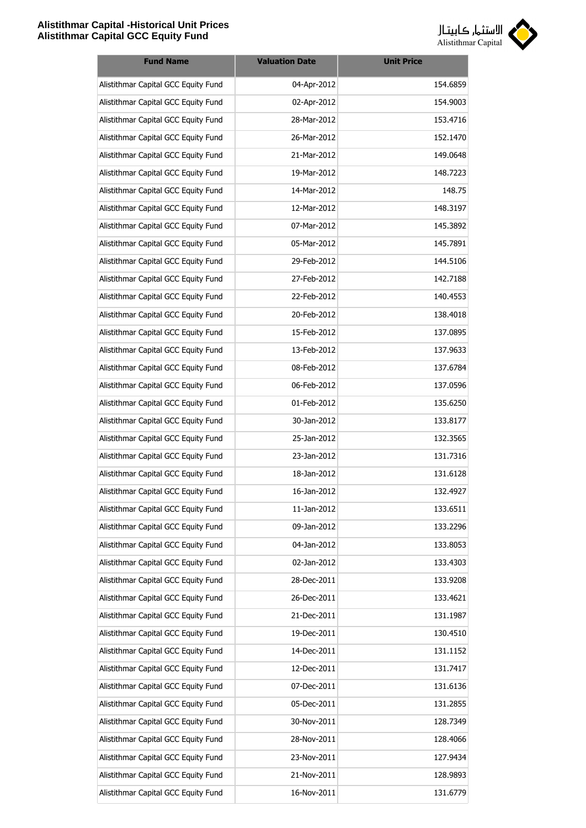

| <b>Fund Name</b>                    | <b>Valuation Date</b> | <b>Unit Price</b> |
|-------------------------------------|-----------------------|-------------------|
| Alistithmar Capital GCC Equity Fund | 04-Apr-2012           | 154.6859          |
| Alistithmar Capital GCC Equity Fund | 02-Apr-2012           | 154.9003          |
| Alistithmar Capital GCC Equity Fund | 28-Mar-2012           | 153.4716          |
| Alistithmar Capital GCC Equity Fund | 26-Mar-2012           | 152.1470          |
| Alistithmar Capital GCC Equity Fund | 21-Mar-2012           | 149.0648          |
| Alistithmar Capital GCC Equity Fund | 19-Mar-2012           | 148.7223          |
| Alistithmar Capital GCC Equity Fund | 14-Mar-2012           | 148.75            |
| Alistithmar Capital GCC Equity Fund | 12-Mar-2012           | 148.3197          |
| Alistithmar Capital GCC Equity Fund | 07-Mar-2012           | 145.3892          |
| Alistithmar Capital GCC Equity Fund | 05-Mar-2012           | 145.7891          |
| Alistithmar Capital GCC Equity Fund | 29-Feb-2012           | 144.5106          |
| Alistithmar Capital GCC Equity Fund | 27-Feb-2012           | 142.7188          |
| Alistithmar Capital GCC Equity Fund | 22-Feb-2012           | 140.4553          |
| Alistithmar Capital GCC Equity Fund | 20-Feb-2012           | 138.4018          |
| Alistithmar Capital GCC Equity Fund | 15-Feb-2012           | 137.0895          |
| Alistithmar Capital GCC Equity Fund | 13-Feb-2012           | 137.9633          |
| Alistithmar Capital GCC Equity Fund | 08-Feb-2012           | 137.6784          |
| Alistithmar Capital GCC Equity Fund | 06-Feb-2012           | 137.0596          |
| Alistithmar Capital GCC Equity Fund | 01-Feb-2012           | 135.6250          |
| Alistithmar Capital GCC Equity Fund | 30-Jan-2012           | 133.8177          |
| Alistithmar Capital GCC Equity Fund | 25-Jan-2012           | 132.3565          |
| Alistithmar Capital GCC Equity Fund | 23-Jan-2012           | 131.7316          |
| Alistithmar Capital GCC Equity Fund | 18-Jan-2012           | 131.6128          |
| Alistithmar Capital GCC Equity Fund | 16-Jan-2012           | 132.4927          |
| Alistithmar Capital GCC Equity Fund | 11-Jan-2012           | 133.6511          |
| Alistithmar Capital GCC Equity Fund | 09-Jan-2012           | 133.2296          |
| Alistithmar Capital GCC Equity Fund | 04-Jan-2012           | 133.8053          |
| Alistithmar Capital GCC Equity Fund | 02-Jan-2012           | 133.4303          |
| Alistithmar Capital GCC Equity Fund | 28-Dec-2011           | 133.9208          |
| Alistithmar Capital GCC Equity Fund | 26-Dec-2011           | 133.4621          |
| Alistithmar Capital GCC Equity Fund | 21-Dec-2011           | 131.1987          |
| Alistithmar Capital GCC Equity Fund | 19-Dec-2011           | 130.4510          |
| Alistithmar Capital GCC Equity Fund | 14-Dec-2011           | 131.1152          |
| Alistithmar Capital GCC Equity Fund | 12-Dec-2011           | 131.7417          |
| Alistithmar Capital GCC Equity Fund | 07-Dec-2011           | 131.6136          |
| Alistithmar Capital GCC Equity Fund | 05-Dec-2011           | 131.2855          |
| Alistithmar Capital GCC Equity Fund | 30-Nov-2011           | 128.7349          |
| Alistithmar Capital GCC Equity Fund | 28-Nov-2011           | 128.4066          |
| Alistithmar Capital GCC Equity Fund | 23-Nov-2011           | 127.9434          |
| Alistithmar Capital GCC Equity Fund | 21-Nov-2011           | 128.9893          |
| Alistithmar Capital GCC Equity Fund | 16-Nov-2011           | 131.6779          |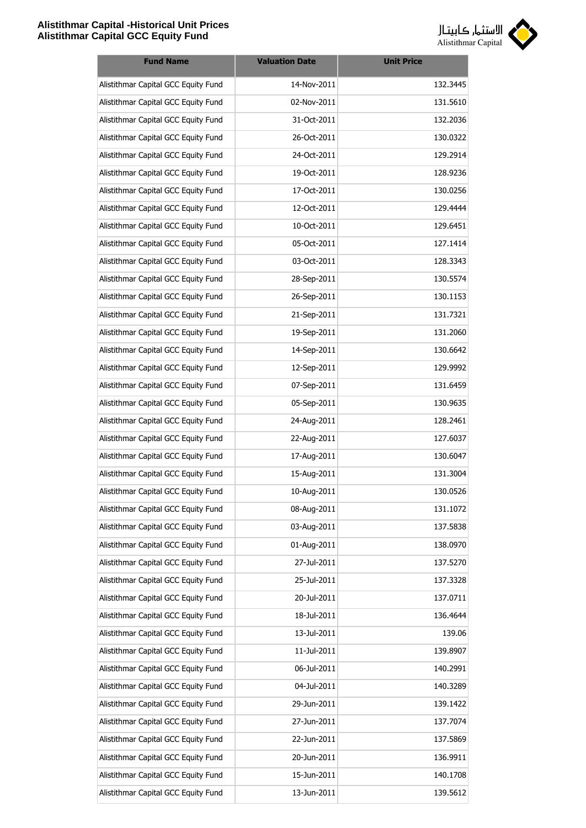

| <b>Fund Name</b>                    | <b>Valuation Date</b> | <b>Unit Price</b> |
|-------------------------------------|-----------------------|-------------------|
| Alistithmar Capital GCC Equity Fund | 14-Nov-2011           | 132.3445          |
| Alistithmar Capital GCC Equity Fund | 02-Nov-2011           | 131.5610          |
| Alistithmar Capital GCC Equity Fund | 31-Oct-2011           | 132.2036          |
| Alistithmar Capital GCC Equity Fund | 26-Oct-2011           | 130.0322          |
| Alistithmar Capital GCC Equity Fund | 24-Oct-2011           | 129.2914          |
| Alistithmar Capital GCC Equity Fund | 19-Oct-2011           | 128.9236          |
| Alistithmar Capital GCC Equity Fund | 17-Oct-2011           | 130.0256          |
| Alistithmar Capital GCC Equity Fund | 12-Oct-2011           | 129.4444          |
| Alistithmar Capital GCC Equity Fund | 10-Oct-2011           | 129.6451          |
| Alistithmar Capital GCC Equity Fund | 05-Oct-2011           | 127.1414          |
| Alistithmar Capital GCC Equity Fund | 03-Oct-2011           | 128.3343          |
| Alistithmar Capital GCC Equity Fund | 28-Sep-2011           | 130.5574          |
| Alistithmar Capital GCC Equity Fund | 26-Sep-2011           | 130.1153          |
| Alistithmar Capital GCC Equity Fund | 21-Sep-2011           | 131.7321          |
| Alistithmar Capital GCC Equity Fund | 19-Sep-2011           | 131.2060          |
| Alistithmar Capital GCC Equity Fund | 14-Sep-2011           | 130.6642          |
| Alistithmar Capital GCC Equity Fund | 12-Sep-2011           | 129.9992          |
| Alistithmar Capital GCC Equity Fund | 07-Sep-2011           | 131.6459          |
| Alistithmar Capital GCC Equity Fund | 05-Sep-2011           | 130.9635          |
| Alistithmar Capital GCC Equity Fund | 24-Aug-2011           | 128.2461          |
| Alistithmar Capital GCC Equity Fund | 22-Aug-2011           | 127.6037          |
| Alistithmar Capital GCC Equity Fund | 17-Aug-2011           | 130.6047          |
| Alistithmar Capital GCC Equity Fund | 15-Aug-2011           | 131.3004          |
| Alistithmar Capital GCC Equity Fund | 10-Aug-2011           | 130.0526          |
| Alistithmar Capital GCC Equity Fund | 08-Aug-2011           | 131.1072          |
| Alistithmar Capital GCC Equity Fund | 03-Aug-2011           | 137.5838          |
| Alistithmar Capital GCC Equity Fund | 01-Aug-2011           | 138.0970          |
| Alistithmar Capital GCC Equity Fund | 27-Jul-2011           | 137.5270          |
| Alistithmar Capital GCC Equity Fund | 25-Jul-2011           | 137.3328          |
| Alistithmar Capital GCC Equity Fund | 20-Jul-2011           | 137.0711          |
| Alistithmar Capital GCC Equity Fund | 18-Jul-2011           | 136.4644          |
| Alistithmar Capital GCC Equity Fund | 13-Jul-2011           | 139.06            |
| Alistithmar Capital GCC Equity Fund | 11-Jul-2011           | 139.8907          |
| Alistithmar Capital GCC Equity Fund | 06-Jul-2011           | 140.2991          |
| Alistithmar Capital GCC Equity Fund | 04-Jul-2011           | 140.3289          |
| Alistithmar Capital GCC Equity Fund | 29-Jun-2011           | 139.1422          |
| Alistithmar Capital GCC Equity Fund | 27-Jun-2011           | 137.7074          |
| Alistithmar Capital GCC Equity Fund | 22-Jun-2011           | 137.5869          |
| Alistithmar Capital GCC Equity Fund | 20-Jun-2011           | 136.9911          |
| Alistithmar Capital GCC Equity Fund | 15-Jun-2011           | 140.1708          |
| Alistithmar Capital GCC Equity Fund | 13-Jun-2011           | 139.5612          |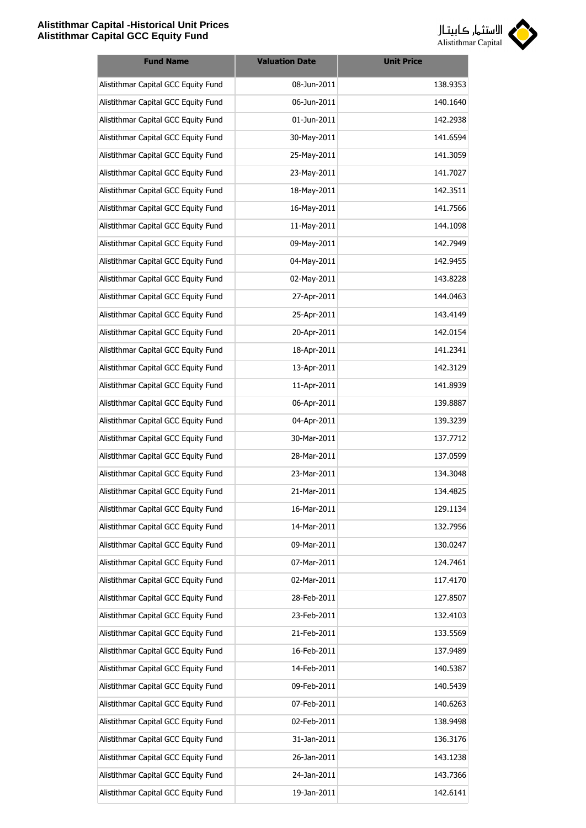

| <b>Fund Name</b>                    | <b>Valuation Date</b> | <b>Unit Price</b> |
|-------------------------------------|-----------------------|-------------------|
| Alistithmar Capital GCC Equity Fund | 08-Jun-2011           | 138.9353          |
| Alistithmar Capital GCC Equity Fund | 06-Jun-2011           | 140.1640          |
| Alistithmar Capital GCC Equity Fund | 01-Jun-2011           | 142.2938          |
| Alistithmar Capital GCC Equity Fund | 30-May-2011           | 141.6594          |
| Alistithmar Capital GCC Equity Fund | 25-May-2011           | 141.3059          |
| Alistithmar Capital GCC Equity Fund | 23-May-2011           | 141.7027          |
| Alistithmar Capital GCC Equity Fund | 18-May-2011           | 142.3511          |
| Alistithmar Capital GCC Equity Fund | 16-May-2011           | 141.7566          |
| Alistithmar Capital GCC Equity Fund | 11-May-2011           | 144.1098          |
| Alistithmar Capital GCC Equity Fund | 09-May-2011           | 142.7949          |
| Alistithmar Capital GCC Equity Fund | 04-May-2011           | 142.9455          |
| Alistithmar Capital GCC Equity Fund | 02-May-2011           | 143.8228          |
| Alistithmar Capital GCC Equity Fund | 27-Apr-2011           | 144.0463          |
| Alistithmar Capital GCC Equity Fund | 25-Apr-2011           | 143.4149          |
| Alistithmar Capital GCC Equity Fund | 20-Apr-2011           | 142.0154          |
| Alistithmar Capital GCC Equity Fund | 18-Apr-2011           | 141.2341          |
| Alistithmar Capital GCC Equity Fund | 13-Apr-2011           | 142.3129          |
| Alistithmar Capital GCC Equity Fund | 11-Apr-2011           | 141.8939          |
| Alistithmar Capital GCC Equity Fund | 06-Apr-2011           | 139.8887          |
| Alistithmar Capital GCC Equity Fund | 04-Apr-2011           | 139.3239          |
| Alistithmar Capital GCC Equity Fund | 30-Mar-2011           | 137.7712          |
| Alistithmar Capital GCC Equity Fund | 28-Mar-2011           | 137.0599          |
| Alistithmar Capital GCC Equity Fund | 23-Mar-2011           | 134.3048          |
| Alistithmar Capital GCC Equity Fund | 21-Mar-2011           | 134.4825          |
| Alistithmar Capital GCC Equity Fund | 16-Mar-2011           | 129.1134          |
| Alistithmar Capital GCC Equity Fund | 14-Mar-2011           | 132.7956          |
| Alistithmar Capital GCC Equity Fund | 09-Mar-2011           | 130.0247          |
| Alistithmar Capital GCC Equity Fund | 07-Mar-2011           | 124.7461          |
| Alistithmar Capital GCC Equity Fund | 02-Mar-2011           | 117.4170          |
| Alistithmar Capital GCC Equity Fund | 28-Feb-2011           | 127.8507          |
| Alistithmar Capital GCC Equity Fund | 23-Feb-2011           | 132.4103          |
| Alistithmar Capital GCC Equity Fund | 21-Feb-2011           | 133.5569          |
| Alistithmar Capital GCC Equity Fund | 16-Feb-2011           | 137.9489          |
| Alistithmar Capital GCC Equity Fund | 14-Feb-2011           | 140.5387          |
| Alistithmar Capital GCC Equity Fund | 09-Feb-2011           | 140.5439          |
| Alistithmar Capital GCC Equity Fund | 07-Feb-2011           | 140.6263          |
| Alistithmar Capital GCC Equity Fund | 02-Feb-2011           | 138.9498          |
| Alistithmar Capital GCC Equity Fund | 31-Jan-2011           | 136.3176          |
| Alistithmar Capital GCC Equity Fund | 26-Jan-2011           | 143.1238          |
| Alistithmar Capital GCC Equity Fund | 24-Jan-2011           | 143.7366          |
| Alistithmar Capital GCC Equity Fund | 19-Jan-2011           | 142.6141          |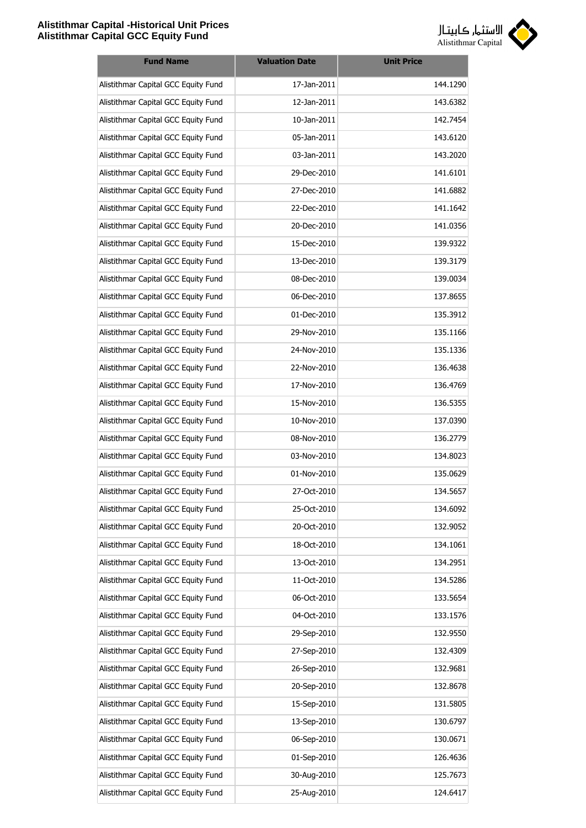

| <b>Fund Name</b>                    | <b>Valuation Date</b> | <b>Unit Price</b> |
|-------------------------------------|-----------------------|-------------------|
| Alistithmar Capital GCC Equity Fund | 17-Jan-2011           | 144.1290          |
| Alistithmar Capital GCC Equity Fund | 12-Jan-2011           | 143.6382          |
| Alistithmar Capital GCC Equity Fund | 10-Jan-2011           | 142.7454          |
| Alistithmar Capital GCC Equity Fund | 05-Jan-2011           | 143.6120          |
| Alistithmar Capital GCC Equity Fund | 03-Jan-2011           | 143.2020          |
| Alistithmar Capital GCC Equity Fund | 29-Dec-2010           | 141.6101          |
| Alistithmar Capital GCC Equity Fund | 27-Dec-2010           | 141.6882          |
| Alistithmar Capital GCC Equity Fund | 22-Dec-2010           | 141.1642          |
| Alistithmar Capital GCC Equity Fund | 20-Dec-2010           | 141.0356          |
| Alistithmar Capital GCC Equity Fund | 15-Dec-2010           | 139.9322          |
| Alistithmar Capital GCC Equity Fund | 13-Dec-2010           | 139.3179          |
| Alistithmar Capital GCC Equity Fund | 08-Dec-2010           | 139.0034          |
| Alistithmar Capital GCC Equity Fund | 06-Dec-2010           | 137.8655          |
| Alistithmar Capital GCC Equity Fund | 01-Dec-2010           | 135.3912          |
| Alistithmar Capital GCC Equity Fund | 29-Nov-2010           | 135.1166          |
| Alistithmar Capital GCC Equity Fund | 24-Nov-2010           | 135.1336          |
| Alistithmar Capital GCC Equity Fund | 22-Nov-2010           | 136.4638          |
| Alistithmar Capital GCC Equity Fund | 17-Nov-2010           | 136.4769          |
| Alistithmar Capital GCC Equity Fund | 15-Nov-2010           | 136.5355          |
| Alistithmar Capital GCC Equity Fund | 10-Nov-2010           | 137.0390          |
| Alistithmar Capital GCC Equity Fund | 08-Nov-2010           | 136.2779          |
| Alistithmar Capital GCC Equity Fund | 03-Nov-2010           | 134.8023          |
| Alistithmar Capital GCC Equity Fund | 01-Nov-2010           | 135.0629          |
| Alistithmar Capital GCC Equity Fund | 27-Oct-2010           | 134.5657          |
| Alistithmar Capital GCC Equity Fund | 25-Oct-2010           | 134.6092          |
| Alistithmar Capital GCC Equity Fund | 20-Oct-2010           | 132.9052          |
| Alistithmar Capital GCC Equity Fund | 18-Oct-2010           | 134.1061          |
| Alistithmar Capital GCC Equity Fund | 13-Oct-2010           | 134.2951          |
| Alistithmar Capital GCC Equity Fund | 11-Oct-2010           | 134.5286          |
| Alistithmar Capital GCC Equity Fund | 06-Oct-2010           | 133.5654          |
| Alistithmar Capital GCC Equity Fund | 04-Oct-2010           | 133.1576          |
| Alistithmar Capital GCC Equity Fund | 29-Sep-2010           | 132.9550          |
| Alistithmar Capital GCC Equity Fund | 27-Sep-2010           | 132.4309          |
| Alistithmar Capital GCC Equity Fund | 26-Sep-2010           | 132.9681          |
| Alistithmar Capital GCC Equity Fund | 20-Sep-2010           | 132.8678          |
| Alistithmar Capital GCC Equity Fund | 15-Sep-2010           | 131.5805          |
| Alistithmar Capital GCC Equity Fund | 13-Sep-2010           | 130.6797          |
| Alistithmar Capital GCC Equity Fund | 06-Sep-2010           | 130.0671          |
| Alistithmar Capital GCC Equity Fund | 01-Sep-2010           | 126.4636          |
| Alistithmar Capital GCC Equity Fund | 30-Aug-2010           | 125.7673          |
| Alistithmar Capital GCC Equity Fund | 25-Aug-2010           | 124.6417          |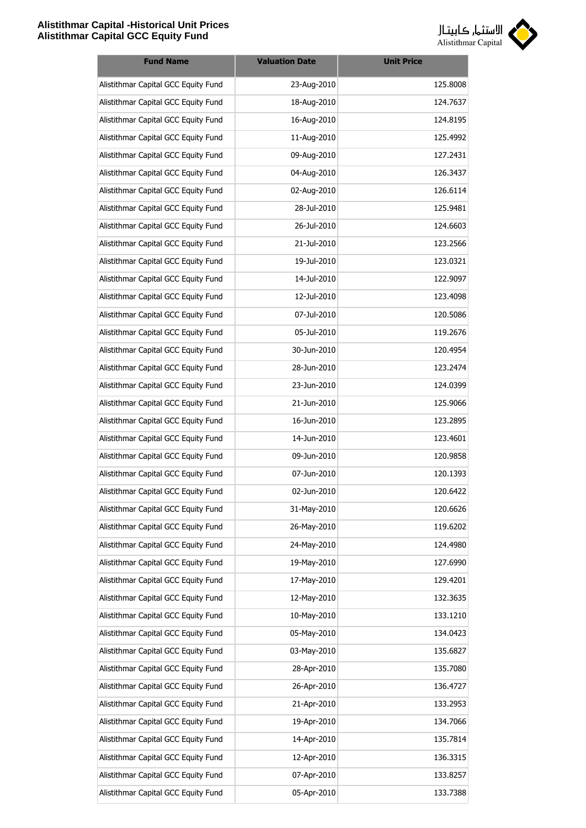

| <b>Fund Name</b>                    | <b>Valuation Date</b> | <b>Unit Price</b> |
|-------------------------------------|-----------------------|-------------------|
| Alistithmar Capital GCC Equity Fund | 23-Aug-2010           | 125.8008          |
| Alistithmar Capital GCC Equity Fund | 18-Aug-2010           | 124.7637          |
| Alistithmar Capital GCC Equity Fund | 16-Aug-2010           | 124.8195          |
| Alistithmar Capital GCC Equity Fund | 11-Aug-2010           | 125.4992          |
| Alistithmar Capital GCC Equity Fund | 09-Aug-2010           | 127.2431          |
| Alistithmar Capital GCC Equity Fund | 04-Aug-2010           | 126.3437          |
| Alistithmar Capital GCC Equity Fund | 02-Aug-2010           | 126.6114          |
| Alistithmar Capital GCC Equity Fund | 28-Jul-2010           | 125.9481          |
| Alistithmar Capital GCC Equity Fund | 26-Jul-2010           | 124.6603          |
| Alistithmar Capital GCC Equity Fund | 21-Jul-2010           | 123.2566          |
| Alistithmar Capital GCC Equity Fund | 19-Jul-2010           | 123.0321          |
| Alistithmar Capital GCC Equity Fund | 14-Jul-2010           | 122.9097          |
| Alistithmar Capital GCC Equity Fund | 12-Jul-2010           | 123.4098          |
| Alistithmar Capital GCC Equity Fund | 07-Jul-2010           | 120.5086          |
| Alistithmar Capital GCC Equity Fund | 05-Jul-2010           | 119.2676          |
| Alistithmar Capital GCC Equity Fund | 30-Jun-2010           | 120.4954          |
| Alistithmar Capital GCC Equity Fund | 28-Jun-2010           | 123.2474          |
| Alistithmar Capital GCC Equity Fund | 23-Jun-2010           | 124.0399          |
| Alistithmar Capital GCC Equity Fund | 21-Jun-2010           | 125.9066          |
| Alistithmar Capital GCC Equity Fund | 16-Jun-2010           | 123.2895          |
| Alistithmar Capital GCC Equity Fund | 14-Jun-2010           | 123.4601          |
| Alistithmar Capital GCC Equity Fund | 09-Jun-2010           | 120.9858          |
| Alistithmar Capital GCC Equity Fund | 07-Jun-2010           | 120.1393          |
| Alistithmar Capital GCC Equity Fund | 02-Jun-2010           | 120.6422          |
| Alistithmar Capital GCC Equity Fund | 31-May-2010           | 120.6626          |
| Alistithmar Capital GCC Equity Fund | 26-May-2010           | 119.6202          |
| Alistithmar Capital GCC Equity Fund | 24-May-2010           | 124.4980          |
| Alistithmar Capital GCC Equity Fund | 19-May-2010           | 127.6990          |
| Alistithmar Capital GCC Equity Fund | 17-May-2010           | 129.4201          |
| Alistithmar Capital GCC Equity Fund | 12-May-2010           | 132.3635          |
| Alistithmar Capital GCC Equity Fund | 10-May-2010           | 133.1210          |
| Alistithmar Capital GCC Equity Fund | 05-May-2010           | 134.0423          |
| Alistithmar Capital GCC Equity Fund | 03-May-2010           | 135.6827          |
| Alistithmar Capital GCC Equity Fund | 28-Apr-2010           | 135.7080          |
| Alistithmar Capital GCC Equity Fund | 26-Apr-2010           | 136.4727          |
| Alistithmar Capital GCC Equity Fund | 21-Apr-2010           | 133.2953          |
| Alistithmar Capital GCC Equity Fund | 19-Apr-2010           | 134.7066          |
| Alistithmar Capital GCC Equity Fund | 14-Apr-2010           | 135.7814          |
| Alistithmar Capital GCC Equity Fund | 12-Apr-2010           | 136.3315          |
| Alistithmar Capital GCC Equity Fund | 07-Apr-2010           | 133.8257          |
| Alistithmar Capital GCC Equity Fund | 05-Apr-2010           | 133.7388          |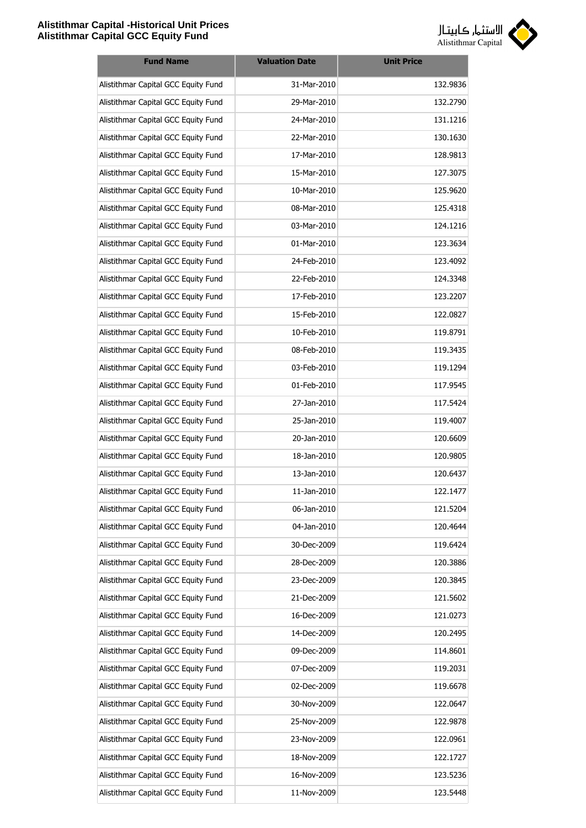

| <b>Fund Name</b>                    | <b>Valuation Date</b> | <b>Unit Price</b> |
|-------------------------------------|-----------------------|-------------------|
| Alistithmar Capital GCC Equity Fund | 31-Mar-2010           | 132.9836          |
| Alistithmar Capital GCC Equity Fund | 29-Mar-2010           | 132.2790          |
| Alistithmar Capital GCC Equity Fund | 24-Mar-2010           | 131.1216          |
| Alistithmar Capital GCC Equity Fund | 22-Mar-2010           | 130.1630          |
| Alistithmar Capital GCC Equity Fund | 17-Mar-2010           | 128.9813          |
| Alistithmar Capital GCC Equity Fund | 15-Mar-2010           | 127.3075          |
| Alistithmar Capital GCC Equity Fund | 10-Mar-2010           | 125.9620          |
| Alistithmar Capital GCC Equity Fund | 08-Mar-2010           | 125.4318          |
| Alistithmar Capital GCC Equity Fund | 03-Mar-2010           | 124.1216          |
| Alistithmar Capital GCC Equity Fund | 01-Mar-2010           | 123.3634          |
| Alistithmar Capital GCC Equity Fund | 24-Feb-2010           | 123.4092          |
| Alistithmar Capital GCC Equity Fund | 22-Feb-2010           | 124.3348          |
| Alistithmar Capital GCC Equity Fund | 17-Feb-2010           | 123.2207          |
| Alistithmar Capital GCC Equity Fund | 15-Feb-2010           | 122.0827          |
| Alistithmar Capital GCC Equity Fund | 10-Feb-2010           | 119.8791          |
| Alistithmar Capital GCC Equity Fund | 08-Feb-2010           | 119.3435          |
| Alistithmar Capital GCC Equity Fund | 03-Feb-2010           | 119.1294          |
| Alistithmar Capital GCC Equity Fund | 01-Feb-2010           | 117.9545          |
| Alistithmar Capital GCC Equity Fund | 27-Jan-2010           | 117.5424          |
| Alistithmar Capital GCC Equity Fund | 25-Jan-2010           | 119.4007          |
| Alistithmar Capital GCC Equity Fund | 20-Jan-2010           | 120.6609          |
| Alistithmar Capital GCC Equity Fund | 18-Jan-2010           | 120.9805          |
| Alistithmar Capital GCC Equity Fund | 13-Jan-2010           | 120.6437          |
| Alistithmar Capital GCC Equity Fund | 11-Jan-2010           | 122.1477          |
| Alistithmar Capital GCC Equity Fund | 06-Jan-2010           | 121.5204          |
| Alistithmar Capital GCC Equity Fund | 04-Jan-2010           | 120.4644          |
| Alistithmar Capital GCC Equity Fund | 30-Dec-2009           | 119.6424          |
| Alistithmar Capital GCC Equity Fund | 28-Dec-2009           | 120.3886          |
| Alistithmar Capital GCC Equity Fund | 23-Dec-2009           | 120.3845          |
| Alistithmar Capital GCC Equity Fund | 21-Dec-2009           | 121.5602          |
| Alistithmar Capital GCC Equity Fund | 16-Dec-2009           | 121.0273          |
| Alistithmar Capital GCC Equity Fund | 14-Dec-2009           | 120.2495          |
| Alistithmar Capital GCC Equity Fund | 09-Dec-2009           | 114.8601          |
| Alistithmar Capital GCC Equity Fund | 07-Dec-2009           | 119.2031          |
| Alistithmar Capital GCC Equity Fund | 02-Dec-2009           | 119.6678          |
| Alistithmar Capital GCC Equity Fund | 30-Nov-2009           | 122.0647          |
| Alistithmar Capital GCC Equity Fund | 25-Nov-2009           | 122.9878          |
| Alistithmar Capital GCC Equity Fund | 23-Nov-2009           | 122.0961          |
| Alistithmar Capital GCC Equity Fund | 18-Nov-2009           | 122.1727          |
| Alistithmar Capital GCC Equity Fund | 16-Nov-2009           | 123.5236          |
| Alistithmar Capital GCC Equity Fund | 11-Nov-2009           | 123.5448          |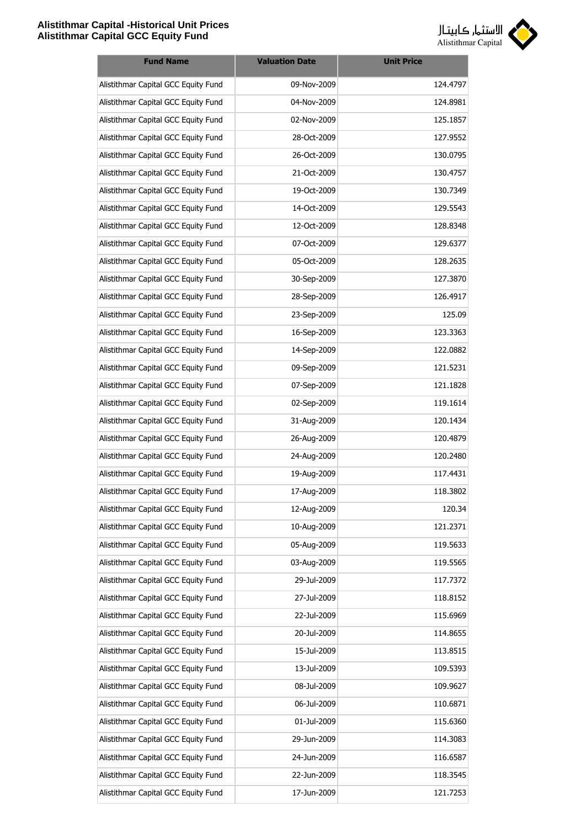

| <b>Fund Name</b>                    | <b>Valuation Date</b> | <b>Unit Price</b> |
|-------------------------------------|-----------------------|-------------------|
| Alistithmar Capital GCC Equity Fund | 09-Nov-2009           | 124.4797          |
| Alistithmar Capital GCC Equity Fund | 04-Nov-2009           | 124.8981          |
| Alistithmar Capital GCC Equity Fund | 02-Nov-2009           | 125.1857          |
| Alistithmar Capital GCC Equity Fund | 28-Oct-2009           | 127.9552          |
| Alistithmar Capital GCC Equity Fund | 26-Oct-2009           | 130.0795          |
| Alistithmar Capital GCC Equity Fund | 21-Oct-2009           | 130.4757          |
| Alistithmar Capital GCC Equity Fund | 19-Oct-2009           | 130.7349          |
| Alistithmar Capital GCC Equity Fund | 14-Oct-2009           | 129.5543          |
| Alistithmar Capital GCC Equity Fund | 12-Oct-2009           | 128.8348          |
| Alistithmar Capital GCC Equity Fund | 07-Oct-2009           | 129.6377          |
| Alistithmar Capital GCC Equity Fund | 05-Oct-2009           | 128.2635          |
| Alistithmar Capital GCC Equity Fund | 30-Sep-2009           | 127.3870          |
| Alistithmar Capital GCC Equity Fund | 28-Sep-2009           | 126.4917          |
| Alistithmar Capital GCC Equity Fund | 23-Sep-2009           | 125.09            |
| Alistithmar Capital GCC Equity Fund | 16-Sep-2009           | 123.3363          |
| Alistithmar Capital GCC Equity Fund | 14-Sep-2009           | 122.0882          |
| Alistithmar Capital GCC Equity Fund | 09-Sep-2009           | 121.5231          |
| Alistithmar Capital GCC Equity Fund | 07-Sep-2009           | 121.1828          |
| Alistithmar Capital GCC Equity Fund | 02-Sep-2009           | 119.1614          |
| Alistithmar Capital GCC Equity Fund | 31-Aug-2009           | 120.1434          |
| Alistithmar Capital GCC Equity Fund | 26-Aug-2009           | 120.4879          |
| Alistithmar Capital GCC Equity Fund | 24-Aug-2009           | 120.2480          |
| Alistithmar Capital GCC Equity Fund | 19-Aug-2009           | 117.4431          |
| Alistithmar Capital GCC Equity Fund | 17-Aug-2009           | 118.3802          |
| Alistithmar Capital GCC Equity Fund | 12-Aug-2009           | 120.34            |
| Alistithmar Capital GCC Equity Fund | 10-Aug-2009           | 121.2371          |
| Alistithmar Capital GCC Equity Fund | 05-Aug-2009           | 119.5633          |
| Alistithmar Capital GCC Equity Fund | 03-Aug-2009           | 119.5565          |
| Alistithmar Capital GCC Equity Fund | 29-Jul-2009           | 117.7372          |
| Alistithmar Capital GCC Equity Fund | 27-Jul-2009           | 118.8152          |
| Alistithmar Capital GCC Equity Fund | 22-Jul-2009           | 115.6969          |
| Alistithmar Capital GCC Equity Fund | 20-Jul-2009           | 114.8655          |
| Alistithmar Capital GCC Equity Fund | 15-Jul-2009           | 113.8515          |
| Alistithmar Capital GCC Equity Fund | 13-Jul-2009           | 109.5393          |
| Alistithmar Capital GCC Equity Fund | 08-Jul-2009           | 109.9627          |
| Alistithmar Capital GCC Equity Fund | 06-Jul-2009           | 110.6871          |
| Alistithmar Capital GCC Equity Fund | 01-Jul-2009           | 115.6360          |
| Alistithmar Capital GCC Equity Fund | 29-Jun-2009           | 114.3083          |
| Alistithmar Capital GCC Equity Fund | 24-Jun-2009           | 116.6587          |
| Alistithmar Capital GCC Equity Fund | 22-Jun-2009           | 118.3545          |
| Alistithmar Capital GCC Equity Fund | 17-Jun-2009           | 121.7253          |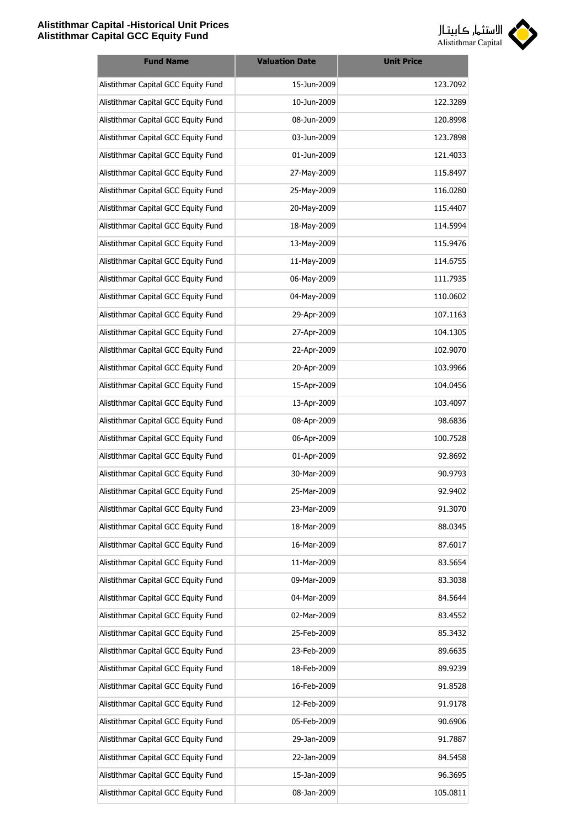

| <b>Fund Name</b>                    | <b>Valuation Date</b> | <b>Unit Price</b> |
|-------------------------------------|-----------------------|-------------------|
| Alistithmar Capital GCC Equity Fund | 15-Jun-2009           | 123.7092          |
| Alistithmar Capital GCC Equity Fund | 10-Jun-2009           | 122.3289          |
| Alistithmar Capital GCC Equity Fund | 08-Jun-2009           | 120.8998          |
| Alistithmar Capital GCC Equity Fund | 03-Jun-2009           | 123.7898          |
| Alistithmar Capital GCC Equity Fund | 01-Jun-2009           | 121.4033          |
| Alistithmar Capital GCC Equity Fund | 27-May-2009           | 115.8497          |
| Alistithmar Capital GCC Equity Fund | 25-May-2009           | 116.0280          |
| Alistithmar Capital GCC Equity Fund | 20-May-2009           | 115.4407          |
| Alistithmar Capital GCC Equity Fund | 18-May-2009           | 114.5994          |
| Alistithmar Capital GCC Equity Fund | 13-May-2009           | 115.9476          |
| Alistithmar Capital GCC Equity Fund | 11-May-2009           | 114.6755          |
| Alistithmar Capital GCC Equity Fund | 06-May-2009           | 111.7935          |
| Alistithmar Capital GCC Equity Fund | 04-May-2009           | 110.0602          |
| Alistithmar Capital GCC Equity Fund | 29-Apr-2009           | 107.1163          |
| Alistithmar Capital GCC Equity Fund | 27-Apr-2009           | 104.1305          |
| Alistithmar Capital GCC Equity Fund | 22-Apr-2009           | 102.9070          |
| Alistithmar Capital GCC Equity Fund | 20-Apr-2009           | 103.9966          |
| Alistithmar Capital GCC Equity Fund | 15-Apr-2009           | 104.0456          |
| Alistithmar Capital GCC Equity Fund | 13-Apr-2009           | 103.4097          |
| Alistithmar Capital GCC Equity Fund | 08-Apr-2009           | 98.6836           |
| Alistithmar Capital GCC Equity Fund | 06-Apr-2009           | 100.7528          |
| Alistithmar Capital GCC Equity Fund | 01-Apr-2009           | 92.8692           |
| Alistithmar Capital GCC Equity Fund | 30-Mar-2009           | 90.9793           |
| Alistithmar Capital GCC Equity Fund | 25-Mar-2009           | 92.9402           |
| Alistithmar Capital GCC Equity Fund | 23-Mar-2009           | 91.3070           |
| Alistithmar Capital GCC Equity Fund | 18-Mar-2009           | 88.0345           |
| Alistithmar Capital GCC Equity Fund | 16-Mar-2009           | 87.6017           |
| Alistithmar Capital GCC Equity Fund | 11-Mar-2009           | 83.5654           |
| Alistithmar Capital GCC Equity Fund | 09-Mar-2009           | 83.3038           |
| Alistithmar Capital GCC Equity Fund | 04-Mar-2009           | 84.5644           |
| Alistithmar Capital GCC Equity Fund | 02-Mar-2009           | 83.4552           |
| Alistithmar Capital GCC Equity Fund | 25-Feb-2009           | 85.3432           |
| Alistithmar Capital GCC Equity Fund | 23-Feb-2009           | 89.6635           |
| Alistithmar Capital GCC Equity Fund | 18-Feb-2009           | 89.9239           |
| Alistithmar Capital GCC Equity Fund | 16-Feb-2009           | 91.8528           |
| Alistithmar Capital GCC Equity Fund | 12-Feb-2009           | 91.9178           |
| Alistithmar Capital GCC Equity Fund | 05-Feb-2009           | 90.6906           |
| Alistithmar Capital GCC Equity Fund | 29-Jan-2009           | 91.7887           |
| Alistithmar Capital GCC Equity Fund | 22-Jan-2009           | 84.5458           |
| Alistithmar Capital GCC Equity Fund | 15-Jan-2009           | 96.3695           |
| Alistithmar Capital GCC Equity Fund | 08-Jan-2009           | 105.0811          |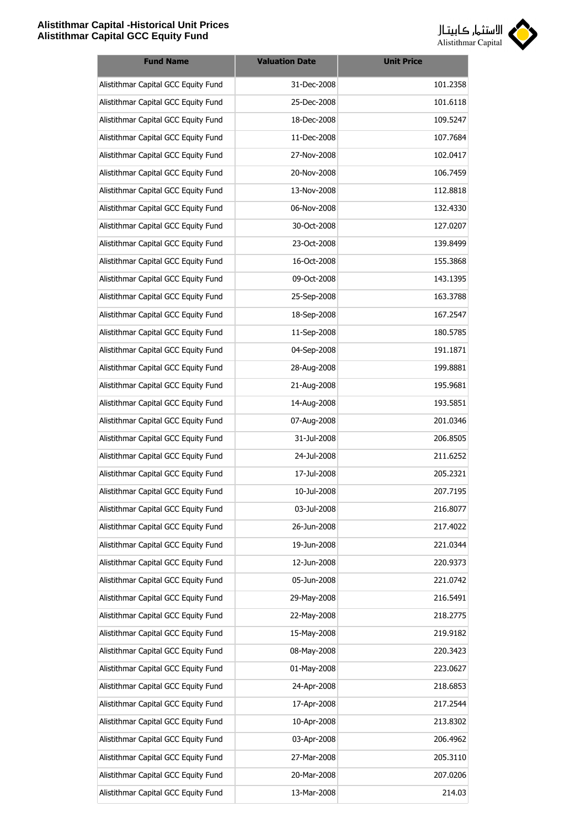

| <b>Fund Name</b>                    | <b>Valuation Date</b> | <b>Unit Price</b> |
|-------------------------------------|-----------------------|-------------------|
| Alistithmar Capital GCC Equity Fund | 31-Dec-2008           | 101.2358          |
| Alistithmar Capital GCC Equity Fund | 25-Dec-2008           | 101.6118          |
| Alistithmar Capital GCC Equity Fund | 18-Dec-2008           | 109.5247          |
| Alistithmar Capital GCC Equity Fund | 11-Dec-2008           | 107.7684          |
| Alistithmar Capital GCC Equity Fund | 27-Nov-2008           | 102.0417          |
| Alistithmar Capital GCC Equity Fund | 20-Nov-2008           | 106.7459          |
| Alistithmar Capital GCC Equity Fund | 13-Nov-2008           | 112.8818          |
| Alistithmar Capital GCC Equity Fund | 06-Nov-2008           | 132.4330          |
| Alistithmar Capital GCC Equity Fund | 30-Oct-2008           | 127.0207          |
| Alistithmar Capital GCC Equity Fund | 23-Oct-2008           | 139.8499          |
| Alistithmar Capital GCC Equity Fund | 16-Oct-2008           | 155.3868          |
| Alistithmar Capital GCC Equity Fund | 09-Oct-2008           | 143.1395          |
| Alistithmar Capital GCC Equity Fund | 25-Sep-2008           | 163.3788          |
| Alistithmar Capital GCC Equity Fund | 18-Sep-2008           | 167.2547          |
| Alistithmar Capital GCC Equity Fund | 11-Sep-2008           | 180.5785          |
| Alistithmar Capital GCC Equity Fund | 04-Sep-2008           | 191.1871          |
| Alistithmar Capital GCC Equity Fund | 28-Aug-2008           | 199.8881          |
| Alistithmar Capital GCC Equity Fund | 21-Aug-2008           | 195.9681          |
| Alistithmar Capital GCC Equity Fund | 14-Aug-2008           | 193.5851          |
| Alistithmar Capital GCC Equity Fund | 07-Aug-2008           | 201.0346          |
| Alistithmar Capital GCC Equity Fund | 31-Jul-2008           | 206.8505          |
| Alistithmar Capital GCC Equity Fund | 24-Jul-2008           | 211.6252          |
| Alistithmar Capital GCC Equity Fund | 17-Jul-2008           | 205.2321          |
| Alistithmar Capital GCC Equity Fund | 10-Jul-2008           | 207.7195          |
| Alistithmar Capital GCC Equity Fund | 03-Jul-2008           | 216.8077          |
| Alistithmar Capital GCC Equity Fund | 26-Jun-2008           | 217.4022          |
| Alistithmar Capital GCC Equity Fund | 19-Jun-2008           | 221.0344          |
| Alistithmar Capital GCC Equity Fund | 12-Jun-2008           | 220.9373          |
| Alistithmar Capital GCC Equity Fund | 05-Jun-2008           | 221.0742          |
| Alistithmar Capital GCC Equity Fund | 29-May-2008           | 216.5491          |
| Alistithmar Capital GCC Equity Fund | 22-May-2008           | 218.2775          |
| Alistithmar Capital GCC Equity Fund | 15-May-2008           | 219.9182          |
| Alistithmar Capital GCC Equity Fund | 08-May-2008           | 220.3423          |
| Alistithmar Capital GCC Equity Fund | 01-May-2008           | 223.0627          |
| Alistithmar Capital GCC Equity Fund | 24-Apr-2008           | 218.6853          |
| Alistithmar Capital GCC Equity Fund | 17-Apr-2008           | 217.2544          |
| Alistithmar Capital GCC Equity Fund | 10-Apr-2008           | 213.8302          |
| Alistithmar Capital GCC Equity Fund | 03-Apr-2008           | 206.4962          |
| Alistithmar Capital GCC Equity Fund | 27-Mar-2008           | 205.3110          |
| Alistithmar Capital GCC Equity Fund | 20-Mar-2008           | 207.0206          |
| Alistithmar Capital GCC Equity Fund | 13-Mar-2008           | 214.03            |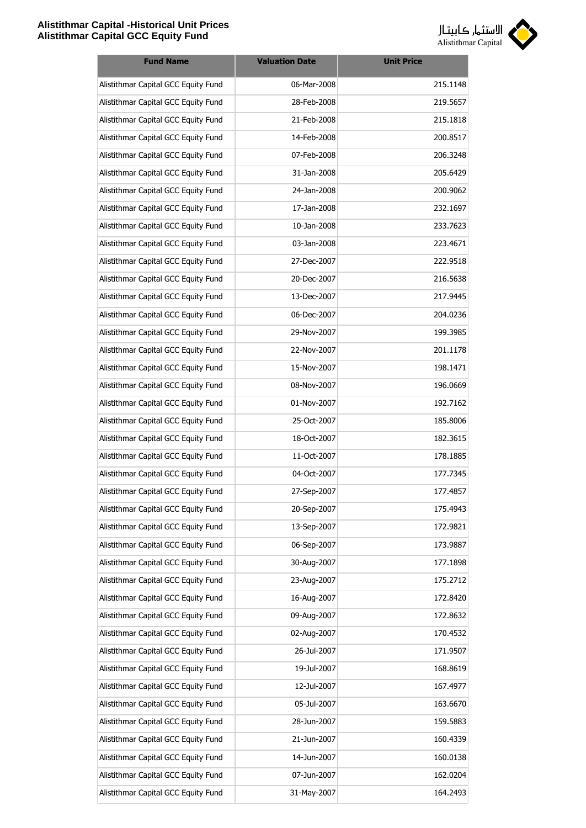

| <b>Fund Name</b>                    | <b>Valuation Date</b> | <b>Unit Price</b> |
|-------------------------------------|-----------------------|-------------------|
| Alistithmar Capital GCC Equity Fund | 06-Mar-2008           | 215.1148          |
| Alistithmar Capital GCC Equity Fund | 28-Feb-2008           | 219.5657          |
| Alistithmar Capital GCC Equity Fund | 21-Feb-2008           | 215.1818          |
| Alistithmar Capital GCC Equity Fund | 14-Feb-2008           | 200.8517          |
| Alistithmar Capital GCC Equity Fund | 07-Feb-2008           | 206.3248          |
| Alistithmar Capital GCC Equity Fund | 31-Jan-2008           | 205.6429          |
| Alistithmar Capital GCC Equity Fund | 24-Jan-2008           | 200.9062          |
| Alistithmar Capital GCC Equity Fund | 17-Jan-2008           | 232.1697          |
| Alistithmar Capital GCC Equity Fund | 10-Jan-2008           | 233.7623          |
| Alistithmar Capital GCC Equity Fund | 03-Jan-2008           | 223.4671          |
| Alistithmar Capital GCC Equity Fund | 27-Dec-2007           | 222.9518          |
| Alistithmar Capital GCC Equity Fund | 20-Dec-2007           | 216.5638          |
| Alistithmar Capital GCC Equity Fund | 13-Dec-2007           | 217.9445          |
| Alistithmar Capital GCC Equity Fund | 06-Dec-2007           | 204.0236          |
| Alistithmar Capital GCC Equity Fund | 29-Nov-2007           | 199.3985          |
| Alistithmar Capital GCC Equity Fund | 22-Nov-2007           | 201.1178          |
| Alistithmar Capital GCC Equity Fund | 15-Nov-2007           | 198.1471          |
| Alistithmar Capital GCC Equity Fund | 08-Nov-2007           | 196.0669          |
| Alistithmar Capital GCC Equity Fund | 01-Nov-2007           | 192.7162          |
| Alistithmar Capital GCC Equity Fund | 25-Oct-2007           | 185.8006          |
| Alistithmar Capital GCC Equity Fund | 18-Oct-2007           | 182.3615          |
| Alistithmar Capital GCC Equity Fund | 11-Oct-2007           | 178.1885          |
| Alistithmar Capital GCC Equity Fund | 04-Oct-2007           | 177.7345          |
| Alistithmar Capital GCC Equity Fund | 27-Sep-2007           | 177.4857          |
| Alistithmar Capital GCC Equity Fund | 20-Sep-2007           | 175.4943          |
| Alistithmar Capital GCC Equity Fund | 13-Sep-2007           | 172.9821          |
| Alistithmar Capital GCC Equity Fund | 06-Sep-2007           | 173.9887          |
| Alistithmar Capital GCC Equity Fund | 30-Aug-2007           | 177.1898          |
| Alistithmar Capital GCC Equity Fund | 23-Aug-2007           | 175.2712          |
| Alistithmar Capital GCC Equity Fund | 16-Aug-2007           | 172.8420          |
| Alistithmar Capital GCC Equity Fund | 09-Aug-2007           | 172.8632          |
| Alistithmar Capital GCC Equity Fund | 02-Aug-2007           | 170.4532          |
| Alistithmar Capital GCC Equity Fund | 26-Jul-2007           | 171.9507          |
| Alistithmar Capital GCC Equity Fund | 19-Jul-2007           | 168.8619          |
| Alistithmar Capital GCC Equity Fund | 12-Jul-2007           | 167.4977          |
| Alistithmar Capital GCC Equity Fund | 05-Jul-2007           | 163.6670          |
| Alistithmar Capital GCC Equity Fund | 28-Jun-2007           | 159.5883          |
| Alistithmar Capital GCC Equity Fund | 21-Jun-2007           | 160.4339          |
| Alistithmar Capital GCC Equity Fund | 14-Jun-2007           | 160.0138          |
| Alistithmar Capital GCC Equity Fund | 07-Jun-2007           | 162.0204          |
| Alistithmar Capital GCC Equity Fund | 31-May-2007           | 164.2493          |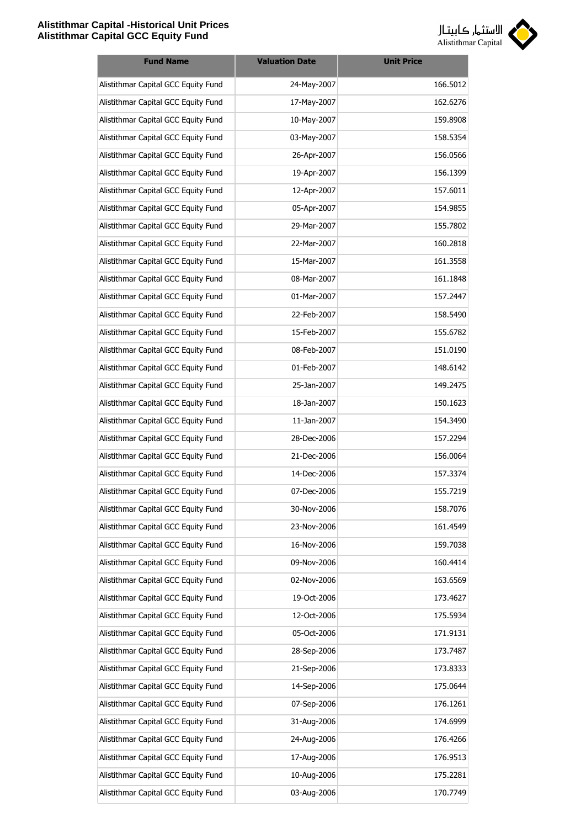

| <b>Fund Name</b>                    | <b>Valuation Date</b> | <b>Unit Price</b> |
|-------------------------------------|-----------------------|-------------------|
| Alistithmar Capital GCC Equity Fund | 24-May-2007           | 166.5012          |
| Alistithmar Capital GCC Equity Fund | 17-May-2007           | 162.6276          |
| Alistithmar Capital GCC Equity Fund | 10-May-2007           | 159.8908          |
| Alistithmar Capital GCC Equity Fund | 03-May-2007           | 158.5354          |
| Alistithmar Capital GCC Equity Fund | 26-Apr-2007           | 156.0566          |
| Alistithmar Capital GCC Equity Fund | 19-Apr-2007           | 156.1399          |
| Alistithmar Capital GCC Equity Fund | 12-Apr-2007           | 157.6011          |
| Alistithmar Capital GCC Equity Fund | 05-Apr-2007           | 154.9855          |
| Alistithmar Capital GCC Equity Fund | 29-Mar-2007           | 155.7802          |
| Alistithmar Capital GCC Equity Fund | 22-Mar-2007           | 160.2818          |
| Alistithmar Capital GCC Equity Fund | 15-Mar-2007           | 161.3558          |
| Alistithmar Capital GCC Equity Fund | 08-Mar-2007           | 161.1848          |
| Alistithmar Capital GCC Equity Fund | 01-Mar-2007           | 157.2447          |
| Alistithmar Capital GCC Equity Fund | 22-Feb-2007           | 158.5490          |
| Alistithmar Capital GCC Equity Fund | 15-Feb-2007           | 155.6782          |
| Alistithmar Capital GCC Equity Fund | 08-Feb-2007           | 151.0190          |
| Alistithmar Capital GCC Equity Fund | 01-Feb-2007           | 148.6142          |
| Alistithmar Capital GCC Equity Fund | 25-Jan-2007           | 149.2475          |
| Alistithmar Capital GCC Equity Fund | 18-Jan-2007           | 150.1623          |
| Alistithmar Capital GCC Equity Fund | 11-Jan-2007           | 154.3490          |
| Alistithmar Capital GCC Equity Fund | 28-Dec-2006           | 157.2294          |
| Alistithmar Capital GCC Equity Fund | 21-Dec-2006           | 156.0064          |
| Alistithmar Capital GCC Equity Fund | 14-Dec-2006           | 157.3374          |
| Alistithmar Capital GCC Equity Fund | 07-Dec-2006           | 155.7219          |
| Alistithmar Capital GCC Equity Fund | 30-Nov-2006           | 158.7076          |
| Alistithmar Capital GCC Equity Fund | 23-Nov-2006           | 161.4549          |
| Alistithmar Capital GCC Equity Fund | 16-Nov-2006           | 159.7038          |
| Alistithmar Capital GCC Equity Fund | 09-Nov-2006           | 160.4414          |
| Alistithmar Capital GCC Equity Fund | 02-Nov-2006           | 163.6569          |
| Alistithmar Capital GCC Equity Fund | 19-Oct-2006           | 173.4627          |
| Alistithmar Capital GCC Equity Fund | 12-Oct-2006           | 175.5934          |
| Alistithmar Capital GCC Equity Fund | 05-Oct-2006           | 171.9131          |
| Alistithmar Capital GCC Equity Fund | 28-Sep-2006           | 173.7487          |
| Alistithmar Capital GCC Equity Fund | 21-Sep-2006           | 173.8333          |
| Alistithmar Capital GCC Equity Fund | 14-Sep-2006           | 175.0644          |
| Alistithmar Capital GCC Equity Fund | 07-Sep-2006           | 176.1261          |
| Alistithmar Capital GCC Equity Fund | 31-Aug-2006           | 174.6999          |
| Alistithmar Capital GCC Equity Fund | 24-Aug-2006           | 176.4266          |
| Alistithmar Capital GCC Equity Fund | 17-Aug-2006           | 176.9513          |
| Alistithmar Capital GCC Equity Fund | 10-Aug-2006           | 175.2281          |
| Alistithmar Capital GCC Equity Fund | 03-Aug-2006           | 170.7749          |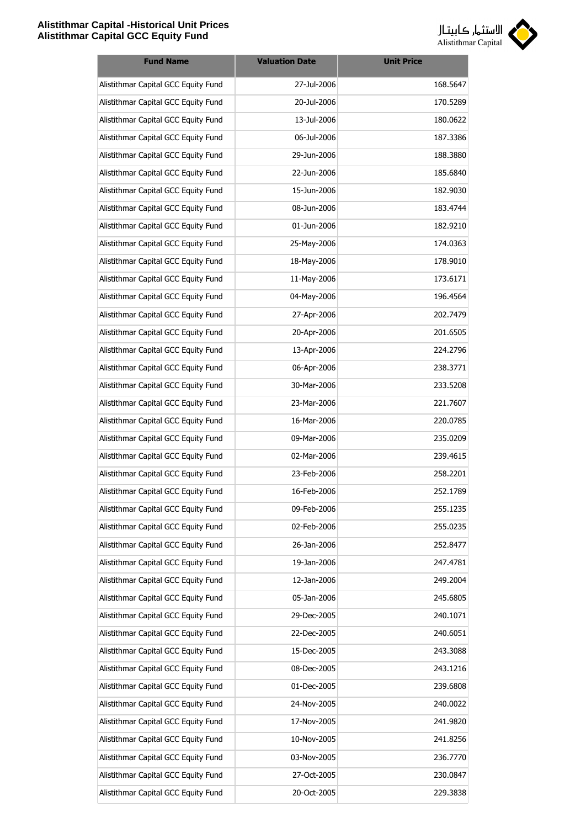

| <b>Fund Name</b>                    | <b>Valuation Date</b> | <b>Unit Price</b> |
|-------------------------------------|-----------------------|-------------------|
| Alistithmar Capital GCC Equity Fund | 27-Jul-2006           | 168.5647          |
| Alistithmar Capital GCC Equity Fund | 20-Jul-2006           | 170.5289          |
| Alistithmar Capital GCC Equity Fund | 13-Jul-2006           | 180.0622          |
| Alistithmar Capital GCC Equity Fund | 06-Jul-2006           | 187.3386          |
| Alistithmar Capital GCC Equity Fund | 29-Jun-2006           | 188.3880          |
| Alistithmar Capital GCC Equity Fund | 22-Jun-2006           | 185.6840          |
| Alistithmar Capital GCC Equity Fund | 15-Jun-2006           | 182.9030          |
| Alistithmar Capital GCC Equity Fund | 08-Jun-2006           | 183.4744          |
| Alistithmar Capital GCC Equity Fund | 01-Jun-2006           | 182.9210          |
| Alistithmar Capital GCC Equity Fund | 25-May-2006           | 174.0363          |
| Alistithmar Capital GCC Equity Fund | 18-May-2006           | 178.9010          |
| Alistithmar Capital GCC Equity Fund | 11-May-2006           | 173.6171          |
| Alistithmar Capital GCC Equity Fund | 04-May-2006           | 196.4564          |
| Alistithmar Capital GCC Equity Fund | 27-Apr-2006           | 202.7479          |
| Alistithmar Capital GCC Equity Fund | 20-Apr-2006           | 201.6505          |
| Alistithmar Capital GCC Equity Fund | 13-Apr-2006           | 224.2796          |
| Alistithmar Capital GCC Equity Fund | 06-Apr-2006           | 238.3771          |
| Alistithmar Capital GCC Equity Fund | 30-Mar-2006           | 233.5208          |
| Alistithmar Capital GCC Equity Fund | 23-Mar-2006           | 221.7607          |
| Alistithmar Capital GCC Equity Fund | 16-Mar-2006           | 220.0785          |
| Alistithmar Capital GCC Equity Fund | 09-Mar-2006           | 235.0209          |
| Alistithmar Capital GCC Equity Fund | 02-Mar-2006           | 239.4615          |
| Alistithmar Capital GCC Equity Fund | 23-Feb-2006           | 258.2201          |
| Alistithmar Capital GCC Equity Fund | 16-Feb-2006           | 252.1789          |
| Alistithmar Capital GCC Equity Fund | 09-Feb-2006           | 255.1235          |
| Alistithmar Capital GCC Equity Fund | 02-Feb-2006           | 255.0235          |
| Alistithmar Capital GCC Equity Fund | 26-Jan-2006           | 252.8477          |
| Alistithmar Capital GCC Equity Fund | 19-Jan-2006           | 247.4781          |
| Alistithmar Capital GCC Equity Fund | 12-Jan-2006           | 249.2004          |
| Alistithmar Capital GCC Equity Fund | 05-Jan-2006           | 245.6805          |
| Alistithmar Capital GCC Equity Fund | 29-Dec-2005           | 240.1071          |
| Alistithmar Capital GCC Equity Fund | 22-Dec-2005           | 240.6051          |
| Alistithmar Capital GCC Equity Fund | 15-Dec-2005           | 243.3088          |
| Alistithmar Capital GCC Equity Fund | 08-Dec-2005           | 243.1216          |
| Alistithmar Capital GCC Equity Fund | 01-Dec-2005           | 239.6808          |
| Alistithmar Capital GCC Equity Fund | 24-Nov-2005           | 240.0022          |
| Alistithmar Capital GCC Equity Fund | 17-Nov-2005           | 241.9820          |
| Alistithmar Capital GCC Equity Fund | 10-Nov-2005           | 241.8256          |
| Alistithmar Capital GCC Equity Fund | 03-Nov-2005           | 236.7770          |
| Alistithmar Capital GCC Equity Fund | 27-Oct-2005           | 230.0847          |
| Alistithmar Capital GCC Equity Fund | 20-Oct-2005           | 229.3838          |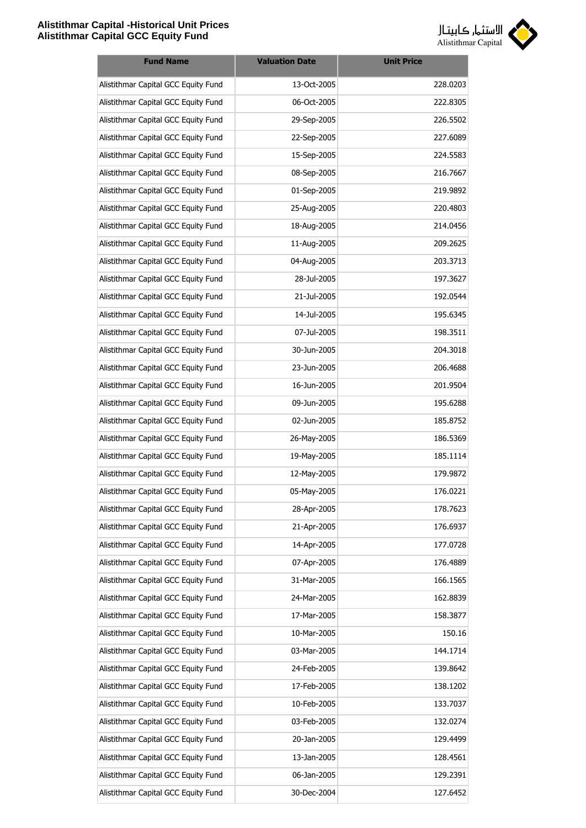

| <b>Fund Name</b>                    | <b>Valuation Date</b> | <b>Unit Price</b> |
|-------------------------------------|-----------------------|-------------------|
| Alistithmar Capital GCC Equity Fund | 13-Oct-2005           | 228.0203          |
| Alistithmar Capital GCC Equity Fund | 06-Oct-2005           | 222.8305          |
| Alistithmar Capital GCC Equity Fund | 29-Sep-2005           | 226.5502          |
| Alistithmar Capital GCC Equity Fund | 22-Sep-2005           | 227.6089          |
| Alistithmar Capital GCC Equity Fund | 15-Sep-2005           | 224.5583          |
| Alistithmar Capital GCC Equity Fund | 08-Sep-2005           | 216.7667          |
| Alistithmar Capital GCC Equity Fund | 01-Sep-2005           | 219.9892          |
| Alistithmar Capital GCC Equity Fund | 25-Aug-2005           | 220.4803          |
| Alistithmar Capital GCC Equity Fund | 18-Aug-2005           | 214.0456          |
| Alistithmar Capital GCC Equity Fund | 11-Aug-2005           | 209.2625          |
| Alistithmar Capital GCC Equity Fund | 04-Aug-2005           | 203.3713          |
| Alistithmar Capital GCC Equity Fund | 28-Jul-2005           | 197.3627          |
| Alistithmar Capital GCC Equity Fund | 21-Jul-2005           | 192.0544          |
| Alistithmar Capital GCC Equity Fund | 14-Jul-2005           | 195.6345          |
| Alistithmar Capital GCC Equity Fund | 07-Jul-2005           | 198.3511          |
| Alistithmar Capital GCC Equity Fund | 30-Jun-2005           | 204.3018          |
| Alistithmar Capital GCC Equity Fund | 23-Jun-2005           | 206.4688          |
| Alistithmar Capital GCC Equity Fund | 16-Jun-2005           | 201.9504          |
| Alistithmar Capital GCC Equity Fund | 09-Jun-2005           | 195.6288          |
| Alistithmar Capital GCC Equity Fund | 02-Jun-2005           | 185.8752          |
| Alistithmar Capital GCC Equity Fund | 26-May-2005           | 186.5369          |
| Alistithmar Capital GCC Equity Fund | 19-May-2005           | 185.1114          |
| Alistithmar Capital GCC Equity Fund | 12-May-2005           | 179.9872          |
| Alistithmar Capital GCC Equity Fund | 05-May-2005           | 176.0221          |
| Alistithmar Capital GCC Equity Fund | 28-Apr-2005           | 178.7623          |
| Alistithmar Capital GCC Equity Fund | 21-Apr-2005           | 176.6937          |
| Alistithmar Capital GCC Equity Fund | 14-Apr-2005           | 177.0728          |
| Alistithmar Capital GCC Equity Fund | 07-Apr-2005           | 176.4889          |
| Alistithmar Capital GCC Equity Fund | 31-Mar-2005           | 166.1565          |
| Alistithmar Capital GCC Equity Fund | 24-Mar-2005           | 162.8839          |
| Alistithmar Capital GCC Equity Fund | 17-Mar-2005           | 158.3877          |
| Alistithmar Capital GCC Equity Fund | 10-Mar-2005           | 150.16            |
| Alistithmar Capital GCC Equity Fund | 03-Mar-2005           | 144.1714          |
| Alistithmar Capital GCC Equity Fund | 24-Feb-2005           | 139.8642          |
| Alistithmar Capital GCC Equity Fund | 17-Feb-2005           | 138.1202          |
| Alistithmar Capital GCC Equity Fund | 10-Feb-2005           | 133.7037          |
| Alistithmar Capital GCC Equity Fund | 03-Feb-2005           | 132.0274          |
| Alistithmar Capital GCC Equity Fund | 20-Jan-2005           | 129.4499          |
| Alistithmar Capital GCC Equity Fund | 13-Jan-2005           | 128.4561          |
| Alistithmar Capital GCC Equity Fund | 06-Jan-2005           | 129.2391          |
| Alistithmar Capital GCC Equity Fund | 30-Dec-2004           | 127.6452          |